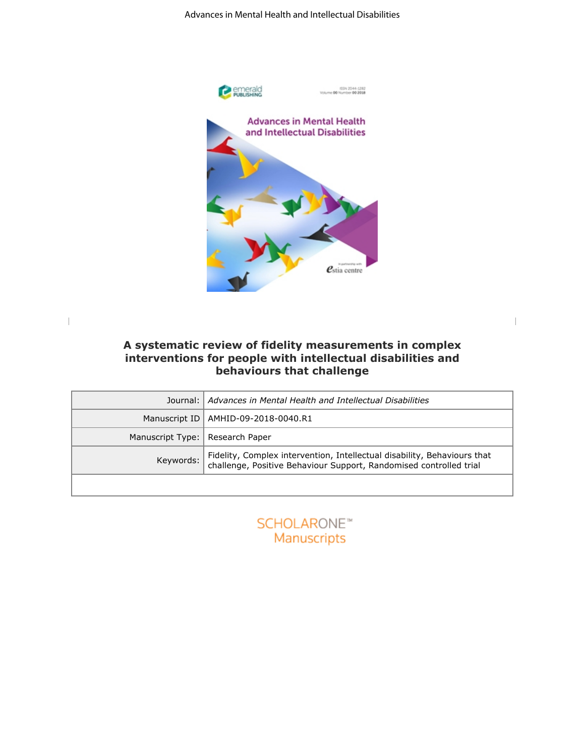

**A systematic review of fidelity measurements in complex interventions for people with intellectual disabilities and behaviours that challenge**

|                                   | Journal:   Advances in Mental Health and Intellectual Disabilities                                                                                       |
|-----------------------------------|----------------------------------------------------------------------------------------------------------------------------------------------------------|
|                                   | Manuscript ID   AMHID-09-2018-0040.R1                                                                                                                    |
| Manuscript Type:   Research Paper |                                                                                                                                                          |
|                                   | Keywords: Fidelity, Complex intervention, Intellectual disability, Behaviours that<br>challenge, Positive Behaviour Support, Randomised controlled trial |
|                                   |                                                                                                                                                          |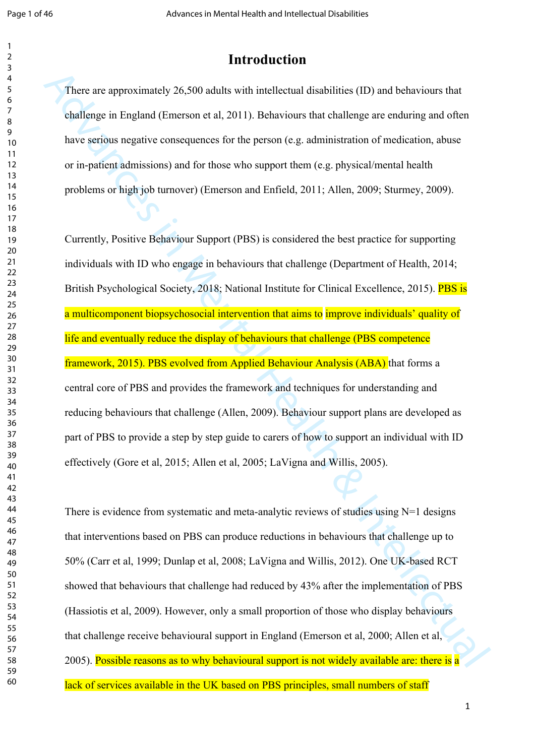### **Introduction**

There are approximately 26,500 adults with intellectual disabilities (ID) and behaviours that challenge in England (Emerson et al, 2011). Behaviours that challenge are enduring and often have serious negative consequences for the person (e.g. administration of medication, abuse or in-patient admissions) and for those who support them (e.g. physical/mental health problems or high job turnover) (Emerson and Enfield, 2011; Allen, 2009; Sturmey, 2009).

There are approximately 26,500 adults with intellectual distributios (ID) and behaviours that challenge are including the callenge are enduring and often have serious negative consequences for the person (e.g. administrat Currently, Positive Behaviour Support (PBS) is considered the best practice for supporting individuals with ID who engage in behaviours that challenge (Department of Health, 2014; British Psychological Society, 2018; National Institute for Clinical Excellence, 2015). **PBS is** a multicomponent biopsychosocial intervention that aims to improve individuals' quality of life and eventually reduce the display of behaviours that challenge (PBS competence framework, 2015). PBS evolved from Applied Behaviour Analysis (ABA) that forms a central core of PBS and provides the framework and techniques for understanding and reducing behaviours that challenge (Allen, 2009). Behaviour support plans are developed as part of PBS to provide a step by step guide to carers of how to support an individual with ID effectively (Gore et al, 2015; Allen et al, 2005; LaVigna and Willis, 2005).

There is evidence from systematic and meta-analytic reviews of studies using  $N=1$  designs that interventions based on PBS can produce reductions in behaviours that challenge up to 50% (Carr et al, 1999; Dunlap et al, 2008; LaVigna and Willis, 2012). One UK-based RCT showed that behaviours that challenge had reduced by 43% after the implementation of PBS (Hassiotis et al, 2009). However, only a small proportion of those who display behaviours that challenge receive behavioural support in England (Emerson et al, 2000; Allen et al, 2005). Possible reasons as to why behavioural support is not widely available are: there is a lack of services available in the UK based on PBS principles, small numbers of staff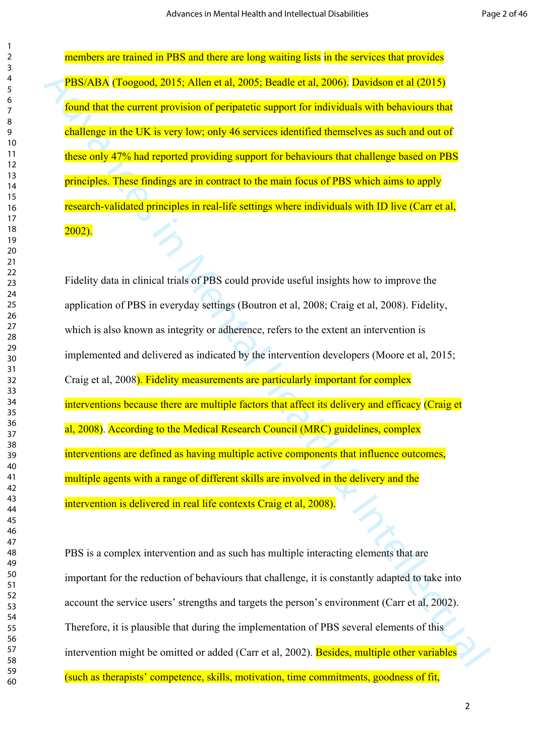members are trained in PBS and there are long waiting lists in the services that provides PBS/ABA (Toogood, 2015; Allen et al, 2005; Beadle et al, 2006). Davidson et al (2015) found that the current provision of peripatetic support for individuals with behaviours that challenge in the UK is very low; only 46 services identified themselves as such and out of these only 47% had reported providing support for behaviours that challenge based on PBS principles. These findings are in contract to the main focus of PBS which aims to apply research-validated principles in real-life settings where individuals with ID live (Carr et al, 2002).

**PBS/ARA (Toogood, 2015; Allen et al.**, 2005; Beadle et al., 2006) Davidson et al. (2015)<br> **Example 10** for example provision of peripatetic support for individuals with behavious that<br>
chances in Me CHK is very low; only Fidelity data in clinical trials of PBS could provide useful insights how to improve the application of PBS in everyday settings (Boutron et al, 2008; Craig et al, 2008). Fidelity, which is also known as integrity or adherence, refers to the extent an intervention is implemented and delivered as indicated by the intervention developers (Moore et al, 2015; Craig et al, 2008). Fidelity measurements are particularly important for complex interventions because there are multiple factors that affect its delivery and efficacy (Craig et al, 2008). According to the Medical Research Council (MRC) guidelines, complex interventions are defined as having multiple active components that influence outcomes, multiple agents with a range of different skills are involved in the delivery and the intervention is delivered in real life contexts Craig et al, 2008).

PBS is a complex intervention and as such has multiple interacting elements that are important for the reduction of behaviours that challenge, it is constantly adapted to take into account the service users' strengths and targets the person's environment (Carr et al, 2002). Therefore, it is plausible that during the implementation of PBS several elements of this intervention might be omitted or added (Carr et al, 2002). Besides, multiple other variables (such as therapists' competence, skills, motivation, time commitments, goodness of fit,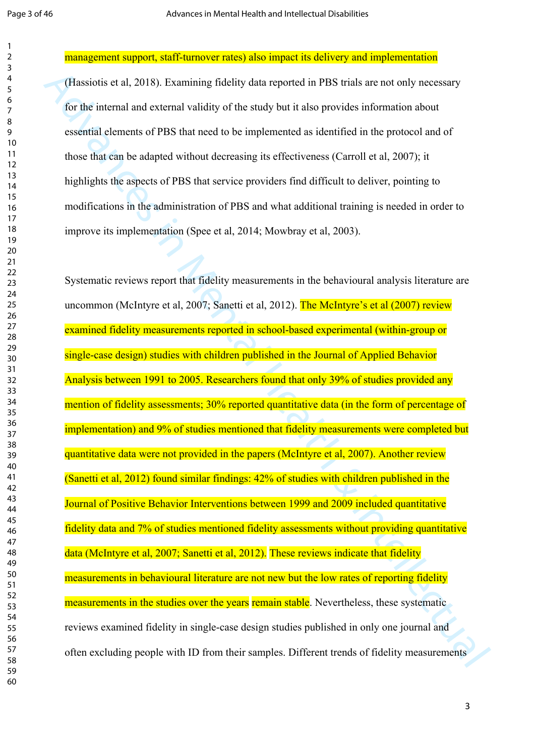management support, staff-turnover rates) also impact its delivery and implementation

(Hassiotis et al, 2018). Examining fidelity data reported in PBS trials are not only necessary for the internal and external validity of the study but it also provides information about essential elements of PBS that need to be implemented as identified in the protocol and of those that can be adapted without decreasing its effectiveness (Carroll et al, 2007); it highlights the aspects of PBS that service providers find difficult to deliver, pointing to modifications in the administration of PBS and what additional training is needed in order to improve its implementation (Spee et al, 2014; Mowbray et al, 2003).

(Hassiotis et al. 2018). Examining fidelity data reported in PBS trials are not only accessary<br>for the intental and extend validity of the study but it also provides information about<br>external elements of PBS that accel t Systematic reviews report that fidelity measurements in the behavioural analysis literature are uncommon (McIntyre et al, 2007; Sanetti et al, 2012). The McIntyre's et al (2007) review examined fidelity measurements reported in school-based experimental (within-group or single-case design) studies with children published in the Journal of Applied Behavior Analysis between 1991 to 2005. Researchers found that only 39% of studies provided any mention of fidelity assessments; 30% reported quantitative data (in the form of percentage of implementation) and 9% of studies mentioned that fidelity measurements were completed but quantitative data were not provided in the papers (McIntyre et al, 2007). Another review (Sanetti et al, 2012) found similar findings: 42% of studies with children published in the Journal of Positive Behavior Interventions between 1999 and 2009 included quantitative fidelity data and 7% of studies mentioned fidelity assessments without providing quantitative data (McIntyre et al, 2007; Sanetti et al, 2012). These reviews indicate that fidelity measurements in behavioural literature are not new but the low rates of reporting fidelity measurements in the studies over the years remain stable. Nevertheless, these systematic reviews examined fidelity in single-case design studies published in only one journal and often excluding people with ID from their samples. Different trends of fidelity measurements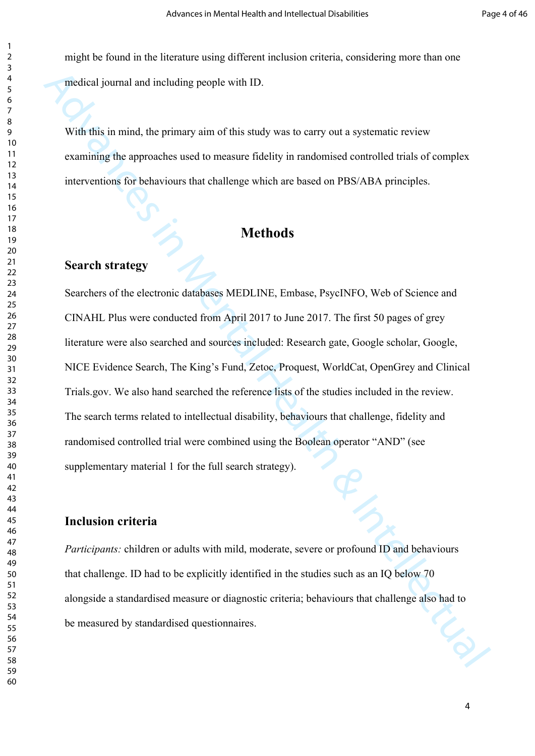might be found in the literature using different inclusion criteria, considering more than one medical journal and including people with ID.

With this in mind, the primary aim of this study was to carry out a systematic review examining the approaches used to measure fidelity in randomised controlled trials of complex interventions for behaviours that challenge which are based on PBS/ABA principles.

### **Methods**

#### **Search strategy**

micrideal journal and including people with ID.<br>
With this in mund, the primary aim of this study was to carry out a systematic review<br>
examining the approaches used to measure fidelity in randomised controlled trials of Searchers of the electronic databases MEDLINE, Embase, PsycINFO, Web of Science and CINAHL Plus were conducted from April 2017 to June 2017. The first 50 pages of grey literature were also searched and sources included: Research gate, Google scholar, Google, NICE Evidence Search, The King's Fund, Zetoc, Proquest, WorldCat, OpenGrey and Clinical Trials.gov. We also hand searched the reference lists of the studies included in the review. The search terms related to intellectual disability, behaviours that challenge, fidelity and randomised controlled trial were combined using the Boolean operator "AND" (see supplementary material 1 for the full search strategy).

#### **Inclusion criteria**

*Participants:* children or adults with mild, moderate, severe or profound ID and behaviours that challenge. ID had to be explicitly identified in the studies such as an IQ below 70 alongside a standardised measure or diagnostic criteria; behaviours that challenge also had to be measured by standardised questionnaires.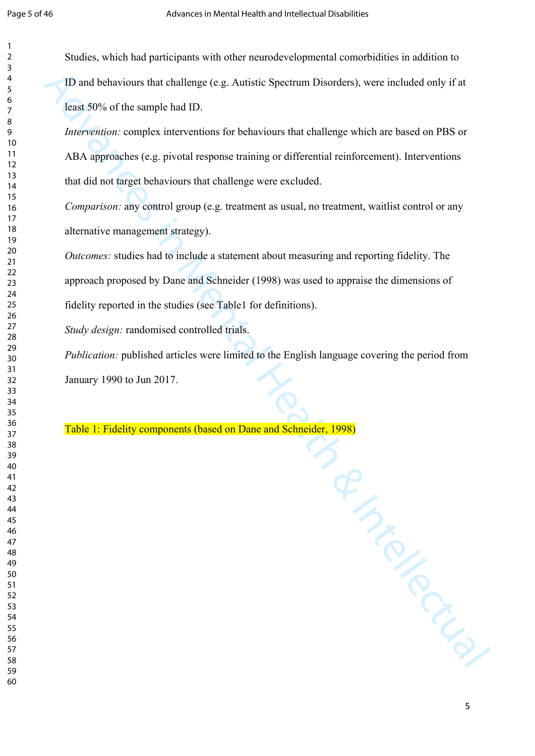Studies, which had participants with other neurodevelopmental comorbidities in addition to ID and behaviours that challenge (e.g. Autistic Spectrum Disorders), were included only if at least 50% of the sample had ID.

*Intervention:* complex interventions for behaviours that challenge which are based on PBS or ABA approaches (e.g. pivotal response training or differential reinforcement). Interventions that did not target behaviours that challenge were excluded.

*Comparison:* any control group (e.g. treatment as usual, no treatment, waitlist control or any alternative management strategy).

*Outcomes:* studies had to include a statement about measuring and reporting fidelity. The approach proposed by Dane and Schneider (1998) was used to appraise the dimensions of fidelity reported in the studies (see Table1 for definitions).

*Study design:* randomised controlled trials.

*Publication:* published articles were limited to the English language covering the period from January 1990 to Jun 2017.

Manday Intellectual Table 1: Fidelity components (based on Dane and Schneider, 1998)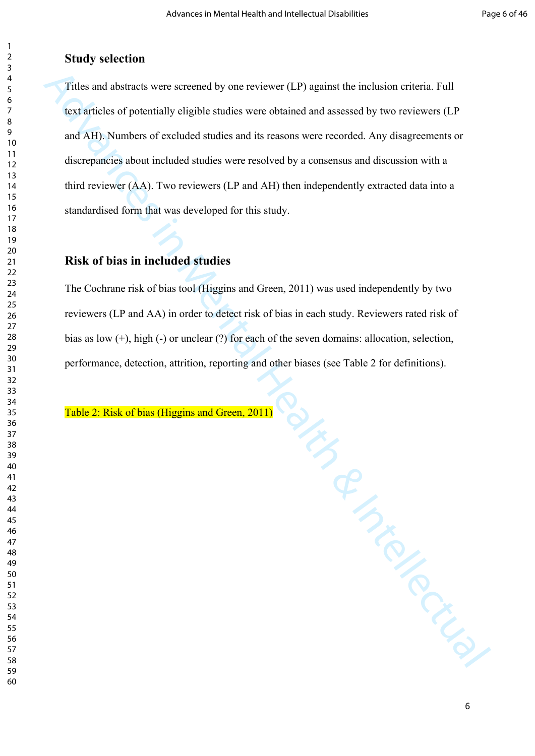#### **Study selection**

Tribes and absurats were serecond by one reviewer (1P) against the inclusion errieria. Full<br>text articles of potentially eligible studies were obtained and assessed by two reviewers (LP<br>and AH). Numbers of excluded studie Titles and abstracts were screened by one reviewer (LP) against the inclusion criteria. Full text articles of potentially eligible studies were obtained and assessed by two reviewers (LP and AH). Numbers of excluded studies and its reasons were recorded. Any disagreements or discrepancies about included studies were resolved by a consensus and discussion with a third reviewer (AA). Two reviewers (LP and AH) then independently extracted data into a standardised form that was developed for this study.

#### **Risk of bias in included studies**

The Cochrane risk of bias tool (Higgins and Green, 2011) was used independently by two reviewers (LP and AA) in order to detect risk of bias in each study. Reviewers rated risk of bias as low (+), high (-) or unclear (?) for each of the seven domains: allocation, selection, performance, detection, attrition, reporting and other biases (see Table 2 for definitions).

Table 2: Risk of bias (Higgins and Green, 2011)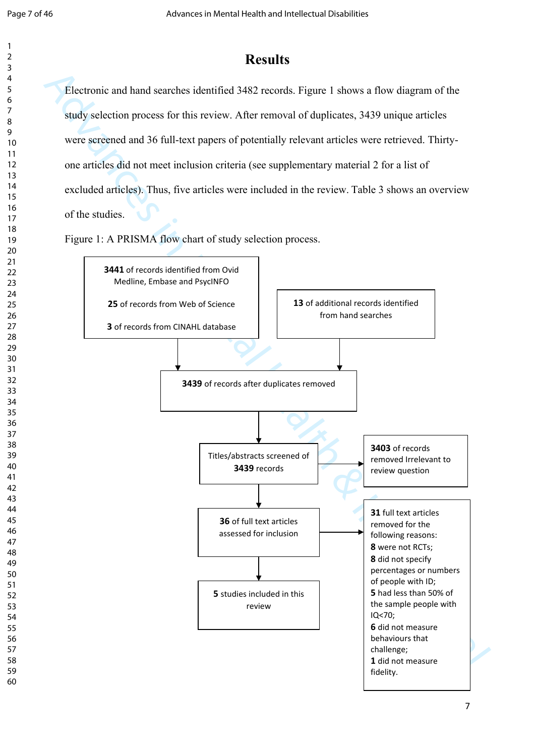# **Results**

Electronic and hand searches identified 3482 records. Figure 1 shows a flow diagram of the study selection process for this review. After removal of duplicates, 3439 unique articles were screened and 36 full-text papers of potentially relevant articles were retrieved. Thirtyone articles did not meet inclusion criteria (see supplementary material 2 for a list of excluded articles). Thus, five articles were included in the review. Table 3 shows an overview of the studies.

Figure 1: A PRISMA flow chart of study selection process.

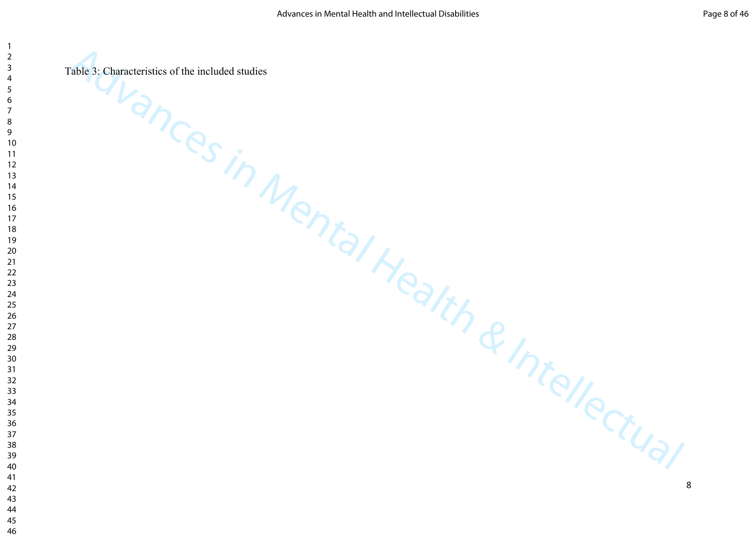Web, Chanceleristics of the included studies<br>Ance S in Mental Health & Intellectual Table 3: Characteristics of the included studies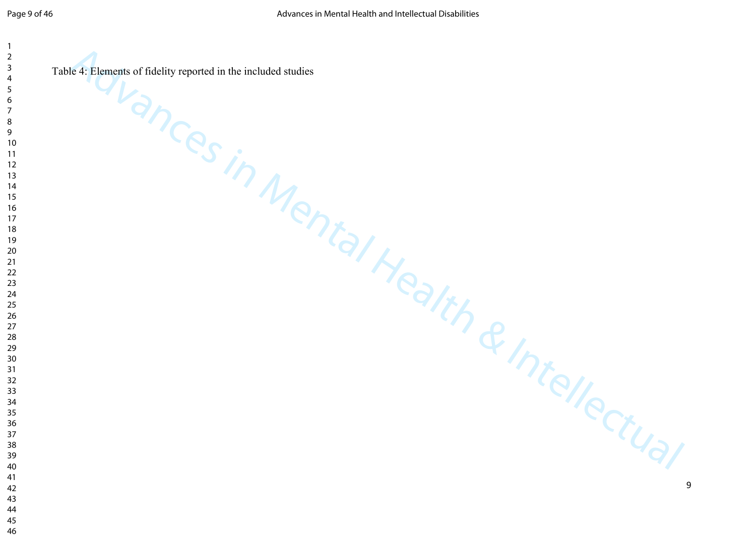Equation of Redisive reported in the included studies<br>AMENTAL HEALTH & INTELLECTUAL Table 4: Elements of fidelity reported in the included studies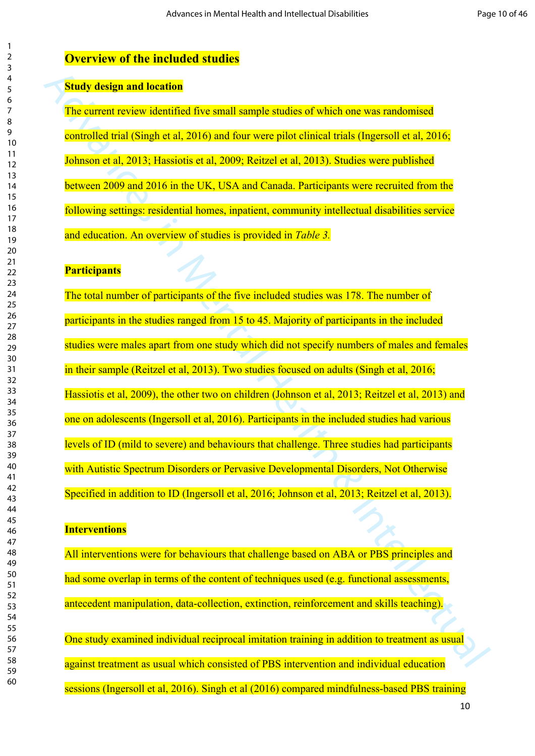#### **Overview of the included studies**

#### **Study design and location**

The current review identified five small sample studies of which one was randomised controlled trial (Singh et al, 2016) and four were pilot clinical trials (Ingersoll et al, 2016; Johnson et al, 2013; Hassiotis et al, 2009; Reitzel et al, 2013). Studies were published between 2009 and 2016 in the UK, USA and Canada. Participants were recruited from the following settings: residential homes, inpatient, community intellectual disabilities service and education. An overview of studies is provided in *Table 3.*

#### **Participants**

Study design and location<br>
The current review identified five small sample studies of which one was randomised<br>
controlled trial (Singh et al. 2016) and four were pilot eliment trials (Ingered) et al. 2016;<br>
Iolinson et al The total number of participants of the five included studies was 178. The number of participants in the studies ranged from 15 to 45. Majority of participants in the included studies were males apart from one study which did not specify numbers of males and females in their sample (Reitzel et al, 2013). Two studies focused on adults (Singh et al, 2016; Hassiotis et al, 2009), the other two on children (Johnson et al, 2013; Reitzel et al, 2013) and one on adolescents (Ingersoll et al, 2016). Participants in the included studies had various levels of ID (mild to severe) and behaviours that challenge. Three studies had participants with Autistic Spectrum Disorders or Pervasive Developmental Disorders, Not Otherwise Specified in addition to ID (Ingersoll et al, 2016; Johnson et al, 2013; Reitzel et al, 2013).

#### **Interventions**

All interventions were for behaviours that challenge based on ABA or PBS principles and had some overlap in terms of the content of techniques used (e.g. functional assessments, antecedent manipulation, data-collection, extinction, reinforcement and skills teaching).

One study examined individual reciprocal imitation training in addition to treatment as usual against treatment as usual which consisted of PBS intervention and individual education sessions (Ingersoll et al, 2016). Singh et al (2016) compared mindfulness-based PBS training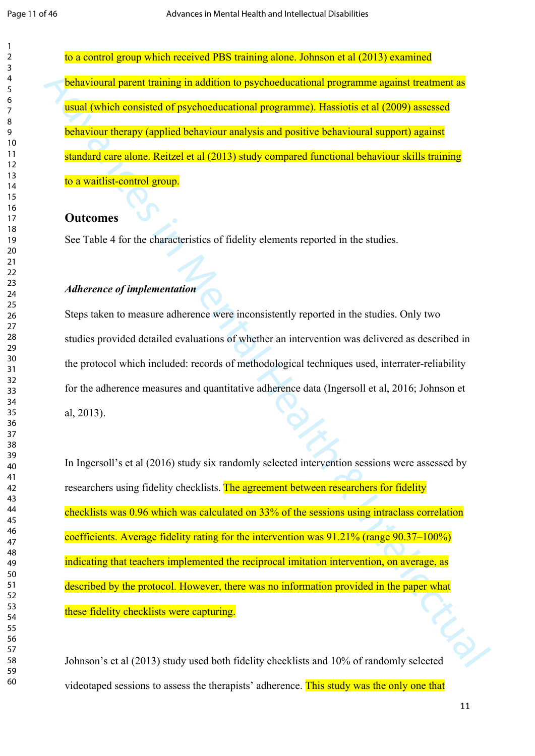to a control group which received PBS training alone. Johnson et al (2013) examined behavioural parent training in addition to psychoeducational programme against treatment as usual (which consisted of psychoeducational programme). Hassiotis et al (2009) assessed behaviour therapy (applied behaviour analysis and positive behavioural support) against standard care alone. Reitzel et al (2013) study compared functional behaviour skills training to a waitlist-control group.

#### **Outcomes**

See Table 4 for the characteristics of fidelity elements reported in the studies.

#### *Adherence of implementation*

Steps taken to measure adherence were inconsistently reported in the studies. Only two studies provided detailed evaluations of whether an intervention was delivered as described in the protocol which included: records of methodological techniques used, interrater-reliability for the adherence measures and quantitative adherence data (Ingersoll et al, 2016; Johnson et al, 2013).

**hcharatoural parent training in addition to psychochicational programme against trainment as<br>
usual todicit consisted of psychoedocational programme). Hassietis et al. (2009) orsensed<br>
<b>hcharaour therapy (applied health** In Ingersoll's et al (2016) study six randomly selected intervention sessions were assessed by researchers using fidelity checklists. The agreement between researchers for fidelity checklists was 0.96 which was calculated on 33% of the sessions using intraclass correlation coefficients. Average fidelity rating for the intervention was 91.21% (range 90.37–100%) indicating that teachers implemented the reciprocal imitation intervention, on average, as described by the protocol. However, there was no information provided in the paper what these fidelity checklists were capturing.

these fidelity checklists were captures.<br>Johnson's et al (2013) study used both fidelity checklists and 10% of randomly selected videotaped sessions to assess the therapists' adherence. This study was the only one that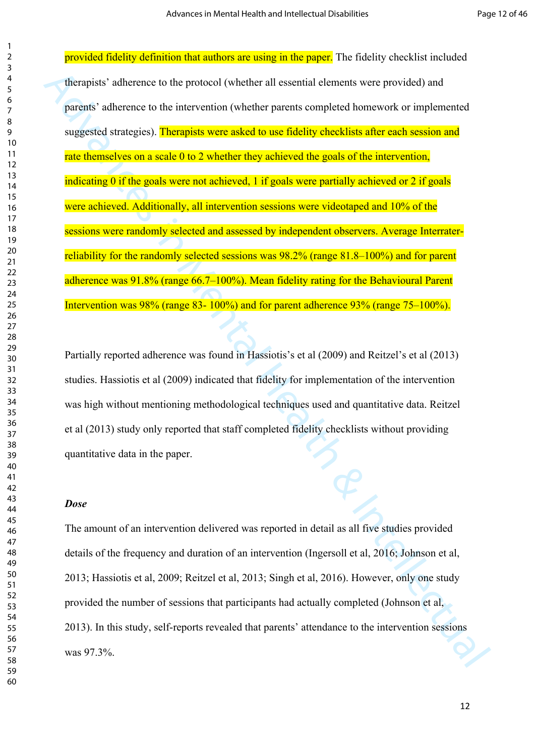The transits' adherence to the protocol (whether all essential elements were provided) and<br>parents' adherence to the intervention (whether parents completed homework or implemented<br>suggested strategies) **Therapists were s** provided fidelity definition that authors are using in the paper. The fidelity checklist included therapists' adherence to the protocol (whether all essential elements were provided) and parents' adherence to the intervention (whether parents completed homework or implemented suggested strategies). Therapists were asked to use fidelity checklists after each session and rate themselves on a scale 0 to 2 whether they achieved the goals of the intervention, indicating 0 if the goals were not achieved, 1 if goals were partially achieved or 2 if goals were achieved. Additionally, all intervention sessions were videotaped and 10% of the sessions were randomly selected and assessed by independent observers. Average Interraterreliability for the randomly selected sessions was 98.2% (range 81.8–100%) and for parent adherence was 91.8% (range 66.7–100%). Mean fidelity rating for the Behavioural Parent Intervention was 98% (range 83- 100%) and for parent adherence 93% (range 75–100%).

Partially reported adherence was found in Hassiotis's et al (2009) and Reitzel's et al (2013) studies. Hassiotis et al (2009) indicated that fidelity for implementation of the intervention was high without mentioning methodological techniques used and quantitative data. Reitzel et al (2013) study only reported that staff completed fidelity checklists without providing quantitative data in the paper.

#### *Dose*

The amount of an intervention delivered was reported in detail as all five studies provided details of the frequency and duration of an intervention (Ingersoll et al, 2016; Johnson et al, 2013; Hassiotis et al, 2009; Reitzel et al, 2013; Singh et al, 2016). However, only one study provided the number of sessions that participants had actually completed (Johnson et al, 2013). In this study, self-reports revealed that parents' attendance to the intervention sessions was 97.3%.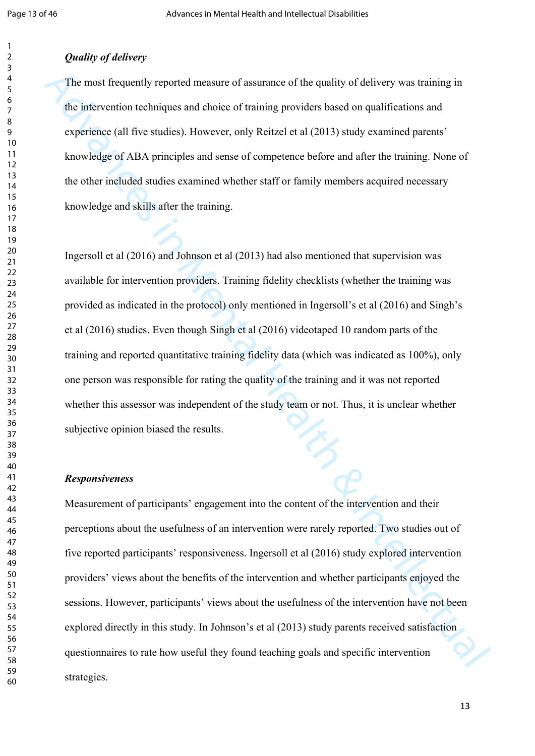#### *Quality of delivery*

The most frequently reported measure of assurance of the quality of delivery was training in the intervention techniques and choice of training providers based on qualifications and experience (all five studies). However, only Reitzel et al (2013) study examined parents' knowledge of ABA principles and sense of competence before and after the training. None of the other included studies examined whether staff or family members acquired necessary knowledge and skills after the training.

The most frequently reported measure of assumance of the quality of delivery was training in<br>the intervention lechniques and choice of training providers based on qualifications and<br>experience (all three studies). However Ingersoll et al (2016) and Johnson et al (2013) had also mentioned that supervision was available for intervention providers. Training fidelity checklists (whether the training was provided as indicated in the protocol) only mentioned in Ingersoll's et al (2016) and Singh's et al (2016) studies. Even though Singh et al (2016) videotaped 10 random parts of the training and reported quantitative training fidelity data (which was indicated as 100%), only one person was responsible for rating the quality of the training and it was not reported whether this assessor was independent of the study team or not. Thus, it is unclear whether subjective opinion biased the results.

#### *Responsiveness*

Measurement of participants' engagement into the content of the intervention and their perceptions about the usefulness of an intervention were rarely reported. Two studies out of five reported participants' responsiveness. Ingersoll et al (2016) study explored intervention providers' views about the benefits of the intervention and whether participants enjoyed the sessions. However, participants' views about the usefulness of the intervention have not been explored directly in this study. In Johnson's et al (2013) study parents received satisfaction questionnaires to rate how useful they found teaching goals and specific intervention strategies.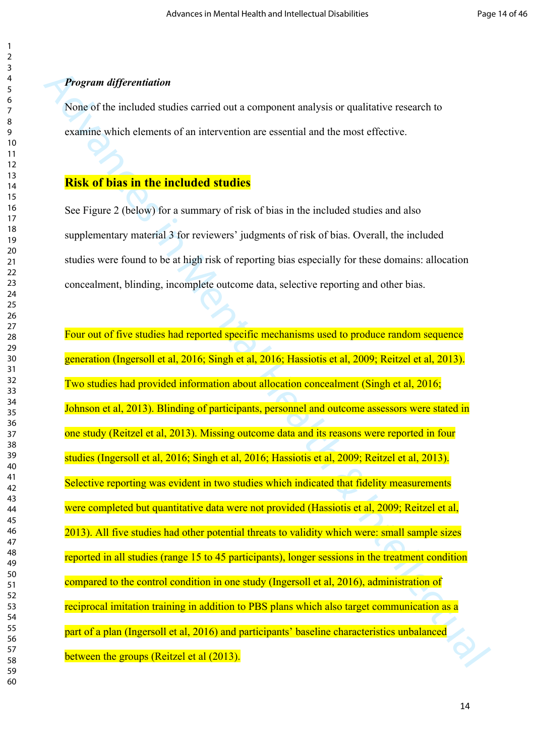#### *Program differentiation*

None of the included studies carried out a component analysis or qualitative research to examine which elements of an intervention are essential and the most effective.

#### **Risk of bias in the included studies**

See Figure 2 (below) for a summary of risk of bias in the included studies and also supplementary material 3 for reviewers' judgments of risk of bias. Overall, the included studies were found to be at high risk of reporting bias especially for these domains: allocation concealment, blinding, incomplete outcome data, selective reporting and other bias.

**Program differentiation**<br>None of the included studies carried out a component analysis or qualitative research to<br>examine which elements of an intervention are essential and the most effective.<br>**Risk of bias in the inclu** Four out of five studies had reported specific mechanisms used to produce random sequence generation (Ingersoll et al, 2016; Singh et al, 2016; Hassiotis et al, 2009; Reitzel et al, 2013). Two studies had provided information about allocation concealment (Singh et al, 2016; Johnson et al, 2013). Blinding of participants, personnel and outcome assessors were stated in one study (Reitzel et al, 2013). Missing outcome data and its reasons were reported in four studies (Ingersoll et al, 2016; Singh et al, 2016; Hassiotis et al, 2009; Reitzel et al, 2013). Selective reporting was evident in two studies which indicated that fidelity measurements were completed but quantitative data were not provided (Hassiotis et al, 2009; Reitzel et al, 2013). All five studies had other potential threats to validity which were: small sample sizes reported in all studies (range 15 to 45 participants), longer sessions in the treatment condition compared to the control condition in one study (Ingersoll et al, 2016), administration of reciprocal imitation training in addition to PBS plans which also target communication as a part of a plan (Ingersoll et al, 2016) and participants' baseline characteristics unbalanced between the groups (Reitzel et al (2013).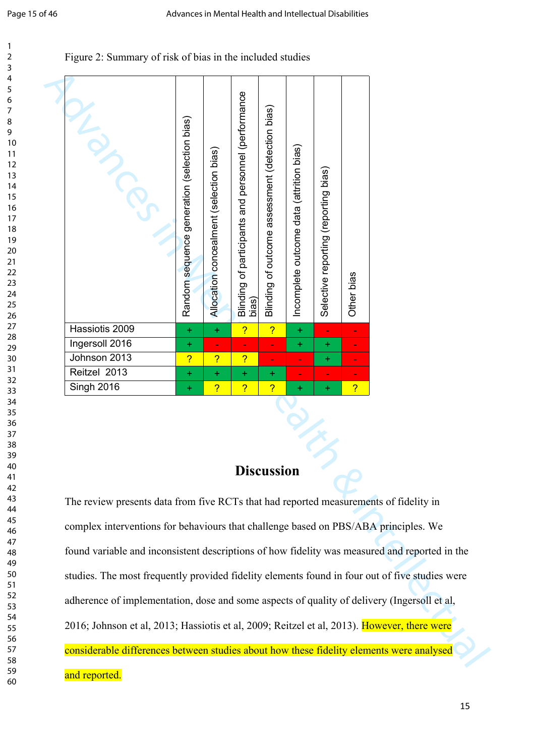#### Figure 2: Summary of risk of bias in the included studies

| NEWSCRIPTION                                                                                                                                                                               | Random sequence generation (selection bias) | Allocation concealment (selection bias) | Blinding of participants and personnel (performance<br>bias) | Blinding of outcome assessment (detection bias) | Incomplete outcome data (attrition bias) | Selective reporting (nas) | Other bias     |  |
|--------------------------------------------------------------------------------------------------------------------------------------------------------------------------------------------|---------------------------------------------|-----------------------------------------|--------------------------------------------------------------|-------------------------------------------------|------------------------------------------|---------------------------|----------------|--|
| Hassiotis 2009                                                                                                                                                                             | $\pm$                                       | $\ddot{}$                               | $\overline{?}$                                               | $\overline{?}$                                  | $+$                                      | ÷,                        |                |  |
| Ingersoll 2016                                                                                                                                                                             | $\ddot{}$                                   | ٠                                       | ۰                                                            | ٠                                               | $\pm$                                    | $+$                       | ۰              |  |
| Johnson 2013                                                                                                                                                                               | $\overline{?}$                              | $\overline{?}$                          | $\overline{?}$                                               | ÷                                               |                                          | $\pm$                     | ۰              |  |
| Reitzel 2013                                                                                                                                                                               | $\ddot{}$                                   | $\ddot{}$                               | $\pm$                                                        | $\ddot{}$                                       |                                          | ۰                         |                |  |
| <b>Singh 2016</b>                                                                                                                                                                          | $\ddot{}$                                   | $\overline{?}$                          | $\overline{?}$                                               | $\overline{?}$                                  |                                          | ÷                         | <mark>?</mark> |  |
| The review presents data from five RCTs that had reported measurements of fidelity in                                                                                                      |                                             |                                         |                                                              | <b>Discussion</b>                               |                                          |                           |                |  |
| complex interventions for behaviours that challenge based on PBS/ABA principles. We                                                                                                        |                                             |                                         |                                                              |                                                 |                                          |                           |                |  |
| found variable and inconsistent descriptions of how fidelity was measured and reported in the                                                                                              |                                             |                                         |                                                              |                                                 |                                          |                           |                |  |
| studies. The most frequently provided fidelity elements found in four out of five studies were                                                                                             |                                             |                                         |                                                              |                                                 |                                          |                           |                |  |
| adherence of implementation, dose and some aspects of quality of delivery (Ingersoll et al,<br>2016; Johnson et al, 2013; Hassiotis et al, 2009; Reitzel et al, 2013). However, there were |                                             |                                         |                                                              |                                                 |                                          |                           |                |  |
| considerable differences between studies about how these fidelity elements were analysed                                                                                                   |                                             |                                         |                                                              |                                                 |                                          |                           |                |  |

# Discussion

The review presents data from five RCTs that had reported measurements of fidelity in complex interventions for behaviours that challenge based on PBS/ABA principles. We found variable and inconsistent descriptions of how fidelity was measured and reported in the studies. The most frequently provided fidelity elements found in four out of five studies were adherence of implementation, dose and some aspects of quality of delivery (Ingersoll et al, 2016; Johnson et al, 2013; Hassiotis et al, 2009; Reitzel et al, 2013). However, there were considerable differences between studies about how these fidelity elements were analysed and reported.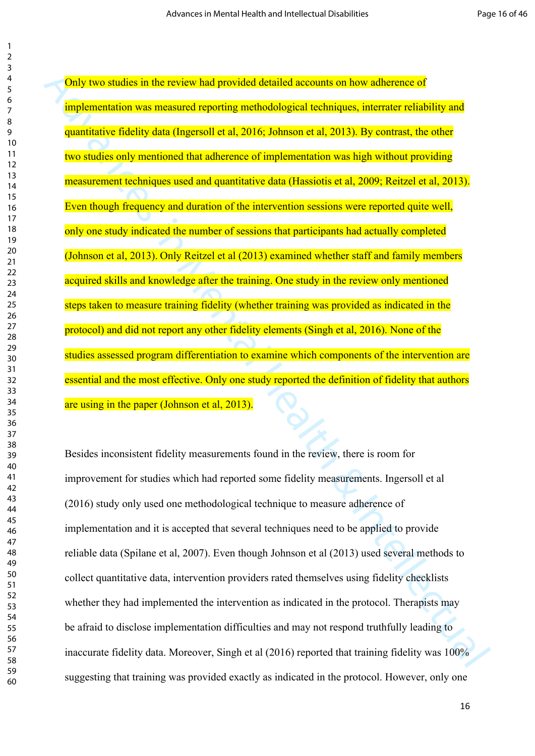Only two studies in the review had provided detailed accounts on how adherence of<br>
implementation was measured reporting methodological rechniques, interaste reliability and<br>
quantitative ridelity data (Ingersoit et al., Only two studies in the review had provided detailed accounts on how adherence of implementation was measured reporting methodological techniques, interrater reliability and quantitative fidelity data (Ingersoll et al, 2016; Johnson et al, 2013). By contrast, the other two studies only mentioned that adherence of implementation was high without providing measurement techniques used and quantitative data (Hassiotis et al, 2009; Reitzel et al, 2013). Even though frequency and duration of the intervention sessions were reported quite well, only one study indicated the number of sessions that participants had actually completed (Johnson et al, 2013). Only Reitzel et al (2013) examined whether staff and family members acquired skills and knowledge after the training. One study in the review only mentioned steps taken to measure training fidelity (whether training was provided as indicated in the protocol) and did not report any other fidelity elements (Singh et al, 2016). None of the studies assessed program differentiation to examine which components of the intervention are essential and the most effective. Only one study reported the definition of fidelity that authors are using in the paper (Johnson et al, 2013).

Besides inconsistent fidelity measurements found in the review, there is room for improvement for studies which had reported some fidelity measurements. Ingersoll et al (2016) study only used one methodological technique to measure adherence of implementation and it is accepted that several techniques need to be applied to provide reliable data (Spilane et al, 2007). Even though Johnson et al (2013) used several methods to collect quantitative data, intervention providers rated themselves using fidelity checklists whether they had implemented the intervention as indicated in the protocol. Therapists may be afraid to disclose implementation difficulties and may not respond truthfully leading to inaccurate fidelity data. Moreover, Singh et al (2016) reported that training fidelity was 100% suggesting that training was provided exactly as indicated in the protocol. However, only one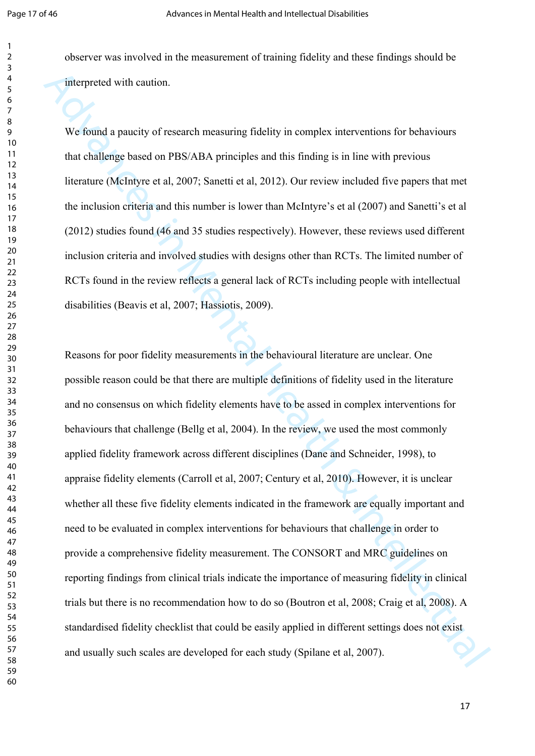observer was involved in the measurement of training fidelity and these findings should be interpreted with caution.

We found a paucity of research measuring fidelity in complex interventions for behaviours that challenge based on PBS/ABA principles and this finding is in line with previous literature (McIntyre et al, 2007; Sanetti et al, 2012). Our review included five papers that met the inclusion criteria and this number is lower than McIntyre's et al (2007) and Sanetti's et al (2012) studies found (46 and 35 studies respectively). However, these reviews used different inclusion criteria and involved studies with designs other than RCTs. The limited number of RCTs found in the review reflects a general lack of RCTs including people with intellectual disabilities (Beavis et al, 2007; Hassiotis, 2009).

interpreted with caution.<br>We fromd a paucity of research measuring fidelity in complex interventions for behaviours<br>that challenge based on PBS/ABA principles and this finding is in time with previous<br>literature (Mehrye e Reasons for poor fidelity measurements in the behavioural literature are unclear. One possible reason could be that there are multiple definitions of fidelity used in the literature and no consensus on which fidelity elements have to be assed in complex interventions for behaviours that challenge (Bellg et al, 2004). In the review, we used the most commonly applied fidelity framework across different disciplines (Dane and Schneider, 1998), to appraise fidelity elements (Carroll et al, 2007; Century et al, 2010). However, it is unclear whether all these five fidelity elements indicated in the framework are equally important and need to be evaluated in complex interventions for behaviours that challenge in order to provide a comprehensive fidelity measurement. The CONSORT and MRC guidelines on reporting findings from clinical trials indicate the importance of measuring fidelity in clinical trials but there is no recommendation how to do so (Boutron et al, 2008; Craig et al, 2008). A standardised fidelity checklist that could be easily applied in different settings does not exist and usually such scales are developed for each study (Spilane et al, 2007).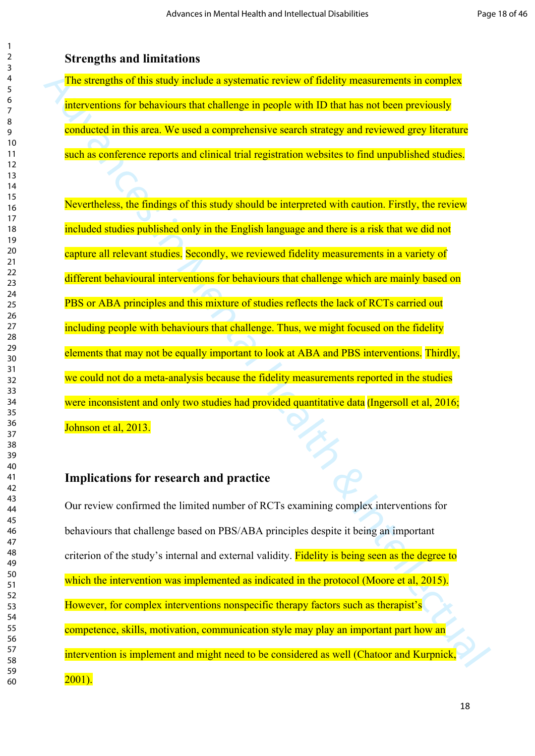**Strengths and limitations** 

The strengths of this study include a systematic review of fidelity measurements in complex interventions for behaviours that challenge in people with ID that has not been previously conducted in this area. We used a comprehensive search strategy and reviewed grey literature such as conference reports and clinical trial registration websites to find unpublished studies.

The strengths of this study include a systematic review of fidelity measurements in complex<br>interventions for behaviours that dialtenge in people with ID that has not been previously<br>conducted in this area. We used a compr Nevertheless, the findings of this study should be interpreted with caution. Firstly, the review included studies published only in the English language and there is a risk that we did not capture all relevant studies. Secondly, we reviewed fidelity measurements in a variety of different behavioural interventions for behaviours that challenge which are mainly based on PBS or ABA principles and this mixture of studies reflects the lack of RCTs carried out including people with behaviours that challenge. Thus, we might focused on the fidelity elements that may not be equally important to look at ABA and PBS interventions. Thirdly, we could not do a meta-analysis because the fidelity measurements reported in the studies were inconsistent and only two studies had provided quantitative data (Ingersoll et al, 2016; Johnson et al, 2013.

#### **Implications for research and practice**

Our review confirmed the limited number of RCTs examining complex interventions for behaviours that challenge based on PBS/ABA principles despite it being an important criterion of the study's internal and external validity. Fidelity is being seen as the degree to which the intervention was implemented as indicated in the protocol (Moore et al. 2015). However, for complex interventions nonspecific therapy factors such as therapist's competence, skills, motivation, communication style may play an important part how an intervention is implement and might need to be considered as well (Chatoor and Kurpnick, 2001).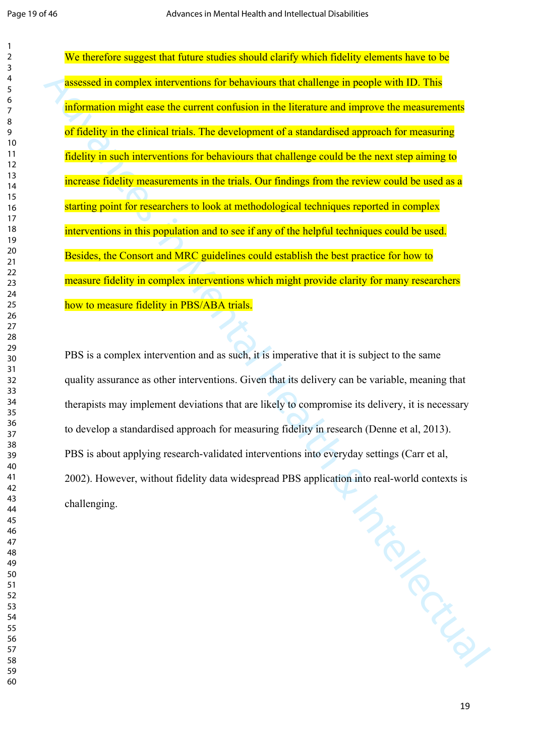We therefore suggest that future studies should clarify which fidelity elements have to be assessed in complex interventions for behaviours that challenge in people with ID. This information might ease the current confusion in the literature and improve the measurements of fidelity in the clinical trials. The development of a standardised approach for measuring fidelity in such interventions for behaviours that challenge could be the next step aiming to increase fidelity measurements in the trials. Our findings from the review could be used as a starting point for researchers to look at methodological techniques reported in complex interventions in this population and to see if any of the helpful techniques could be used. Besides, the Consort and MRC guidelines could establish the best practice for how to measure fidelity in complex interventions which might provide clarity for many researchers how to measure fidelity in PBS/ABA trials.

ARD MENTAL PBS is a complex intervention and as such, it is imperative that it is subject to the same quality assurance as other interventions. Given that its delivery can be variable, meaning that therapists may implement deviations that are likely to compromise its delivery, it is necessary to develop a standardised approach for measuring fidelity in research (Denne et al, 2013). PBS is about applying research-validated interventions into everyday settings (Carr et al, 2002). However, without fidelity data widespread PBS application into real-world contexts is challenging.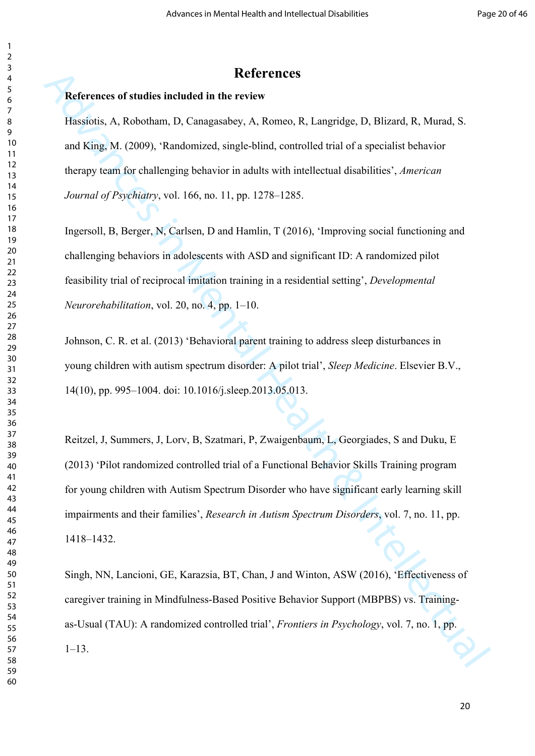#### **References**

#### **References of studies included in the review**

Hassiotis, A, Robotham, D, Canagasabey, A, Romeo, R, Langridge, D, Blizard, R, Murad, S. and King, M. (2009), 'Randomized, single-blind, controlled trial of a specialist behavior therapy team for challenging behavior in adults with intellectual disabilities', *American Journal of Psychiatry*, vol. 166, no. 11, pp. 1278–1285.

Ingersoll, B, Berger, N, Carlsen, D and Hamlin, T (2016), 'Improving social functioning and challenging behaviors in adolescents with ASD and significant ID: A randomized pilot feasibility trial of reciprocal imitation training in a residential setting', *Developmental Neurorehabilitation*, vol. 20, no. 4, pp. 1–10.

Johnson, C. R. et al. (2013) 'Behavioral parent training to address sleep disturbances in young children with autism spectrum disorder: A pilot trial', *Sleep Medicine*. Elsevier B.V., 14(10), pp. 995–1004. doi: 10.1016/j.sleep.2013.05.013.

**Extreme Sources Interview Sections 16. Example 16.** Hassiotis. A. Roberton, R. Changinidge, D. Blizard, R. Murad, S.<br>
Intellectual Health Accordination and Case in Mental Health Accordination of a specialist behavior the Reitzel, J, Summers, J, Lorv, B, Szatmari, P, Zwaigenbaum, L, Georgiades, S and Duku, E (2013) 'Pilot randomized controlled trial of a Functional Behavior Skills Training program for young children with Autism Spectrum Disorder who have significant early learning skill impairments and their families', *Research in Autism Spectrum Disorders*, vol. 7, no. 11, pp. 1418–1432.

Singh, NN, Lancioni, GE, Karazsia, BT, Chan, J and Winton, ASW (2016), 'Effectiveness of caregiver training in Mindfulness-Based Positive Behavior Support (MBPBS) vs. Trainingas-Usual (TAU): A randomized controlled trial', *Frontiers in Psychology*, vol. 7, no. 1, pp. 1–13.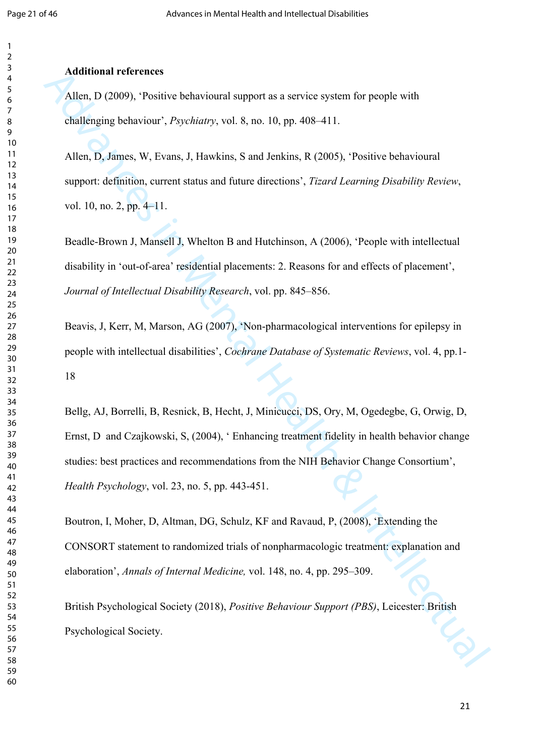#### **Additional references**

Allen, D (2009), 'Positive behavioural support as a service system for people with challenging behaviour', *Psychiatry*, vol. 8, no. 10, pp. 408–411.

Allen, D, James, W, Evans, J, Hawkins, S and Jenkins, R (2005), 'Positive behavioural support: definition, current status and future directions', *Tizard Learning Disability Review*, vol. 10, no. 2, pp. 4–11.

Beadle-Brown J, Mansell J, Whelton B and Hutchinson, A (2006), 'People with intellectual disability in 'out-of-area' residential placements: 2. Reasons for and effects of placement', *Journal of Intellectual Disability Research*, vol. pp. 845–856.

Beavis, J, Kerr, M, Marson, AG (2007), 'Non-pharmacological interventions for epilepsy in people with intellectual disabilities', *Cochrane Database of Systematic Reviews*, vol. 4, pp.1- 

Additional reterences<br>
Allen, D (2009), "Positive behavioural support as a service system for people with<br>
challenging hehaviour; "Ayeletary, vol. 8, no. 10, np. 408-411.<br>
Allen, D, James, W, Evans, J, Hawkins, S and Jenk Bellg, AJ, Borrelli, B, Resnick, B, Hecht, J, Minicucci, DS, Ory, M, Ogedegbe, G, Orwig, D, Ernst, D and Czajkowski, S, (2004), ' Enhancing treatment fidelity in health behavior change studies: best practices and recommendations from the NIH Behavior Change Consortium', *Health Psychology*, vol. 23, no. 5, pp. 443-451.

Boutron, I, Moher, D, Altman, DG, Schulz, KF and Ravaud, P, (2008), 'Extending the CONSORT statement to randomized trials of nonpharmacologic treatment: explanation and elaboration', *Annals of Internal Medicine,* vol. 148, no. 4, pp. 295–309.

British Psychological Society (2018), *Positive Behaviour Support (PBS)*, Leicester: British Psychological Society.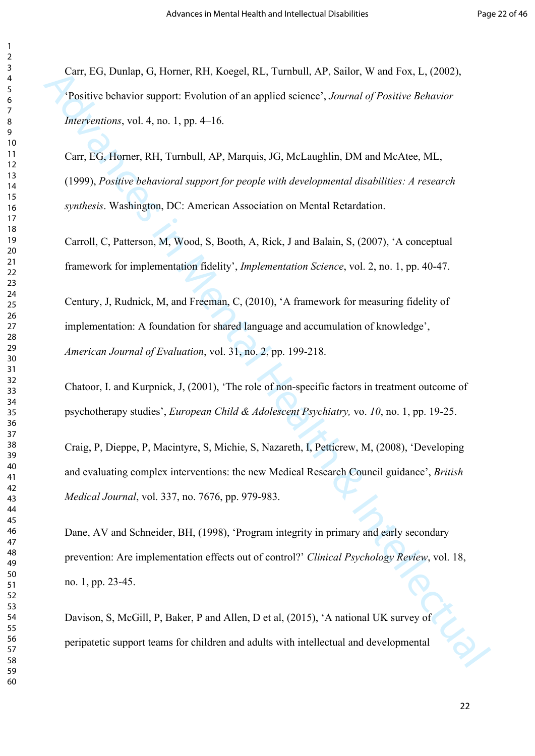Carr, EG, Dunlap, G, Horner, RH, Koegel, RL, Turnbull, AP, Sailor, W and Fox, L, (2002), 'Positive behavior support: Evolution of an applied science', *Journal of Positive Behavior Interventions*, vol. 4, no. 1, pp. 4–16.

Carr, EG, Horner, RH, Turnbull, AP, Marquis, JG, McLaughlin, DM and McAtee, ML, (1999), *Positive behavioral support for people with developmental disabilities: A research synthesis*. Washington, DC: American Association on Mental Retardation.

Carroll, C, Patterson, M, Wood, S, Booth, A, Rick, J and Balain, S, (2007), 'A conceptual framework for implementation fidelity', *Implementation Science*, vol. 2, no. 1, pp. 40-47.

Century, J, Rudnick, M, and Freeman, C, (2010), 'A framework for measuring fidelity of implementation: A foundation for shared language and accumulation of knowledge', *American Journal of Evaluation*, vol. 31, no. 2, pp. 199-218.

Chatoor, I. and Kurpnick, J, (2001), 'The role of non-specific factors in treatment outcome of psychotherapy studies', *European Child & Adolescent Psychiatry,* vo. *10*, no. 1, pp. 19-25.

Craig, P, Dieppe, P, Macintyre, S, Michie, S, Nazareth, I, Petticrew, M, (2008), 'Developing and evaluating complex interventions: the new Medical Research Council guidance', *British Medical Journal*, vol. 337, no. 7676, pp. 979-983.

Carr, FiG, Duniap, G, Homer, RH, Keegel, RL, Turnbull, AP, Sailor, W and Fox, L, (2002).<br>
"Positive behavior support: Evolution of an applied science", Journal of Positive Behavior<br>
Merivanoras, vol. 4, no. 1, pp. 4-16.<br> Dane, AV and Schneider, BH, (1998), 'Program integrity in primary and early secondary prevention: Are implementation effects out of control?' *Clinical Psychology Review*, vol. 18, no. 1, pp. 23-45.

Davison, S, McGill, P, Baker, P and Allen, D et al, (2015), 'A national UK survey of peripatetic support teams for children and adults with intellectual and developmental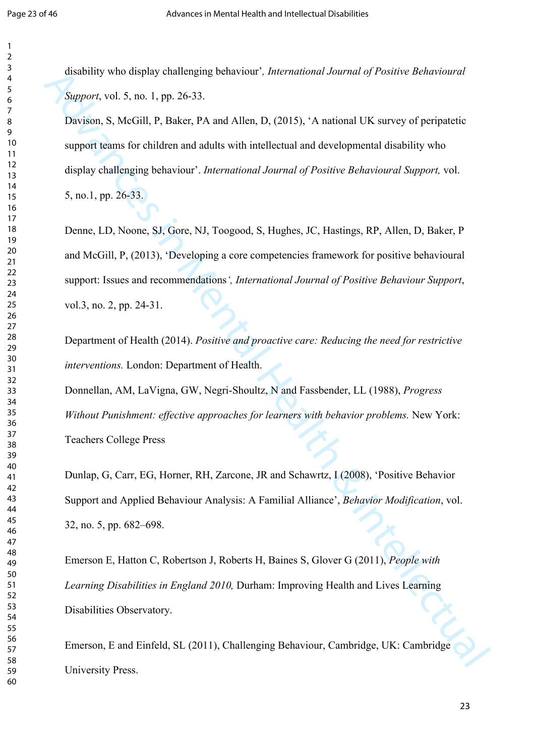disability who display challenging behaviour'*, International Journal of Positive Behavioural Support*, vol. 5, no. 1, pp. 26-33.

Davison, S, McGill, P, Baker, PA and Allen, D, (2015), 'A national UK survey of peripatetic support teams for children and adults with intellectual and developmental disability who display challenging behaviour'. *International Journal of Positive Behavioural Support,* vol. 5, no.1, pp. 26-33.

distability who display challenging behaviour, *International Journal of Practice Rehastroares*<br>
Support, vol. 5, no. 1, pp. 26-33.<br>
Davascor, S. S. no. 1, pp. 26-33.<br>
Davascor, S. Noticity, P. Resiec, P.A and Allen, D, (2 Denne, LD, Noone, SJ, Gore, NJ, Toogood, S, Hughes, JC, Hastings, RP, Allen, D, Baker, P and McGill, P, (2013), 'Developing a core competencies framework for positive behavioural support: Issues and recommendations*', International Journal of Positive Behaviour Support*, vol.3, no. 2, pp. 24-31.

Department of Health (2014). *Positive and proactive care: Reducing the need for restrictive interventions.* London: Department of Health.

Donnellan, AM, LaVigna, GW, Negri-Shoultz, N and Fassbender, LL (1988), *Progress Without Punishment: effective approaches for learners with behavior problems.* New York: Teachers College Press

Dunlap, G, Carr, EG, Horner, RH, Zarcone, JR and Schawrtz, I (2008), 'Positive Behavior Support and Applied Behaviour Analysis: A Familial Alliance', *Behavior Modification*, vol. 32, no. 5, pp. 682–698.

Emerson E, Hatton C, Robertson J, Roberts H, Baines S, Glover G (2011), *People with Learning Disabilities in England 2010,* Durham: Improving Health and Lives Learning Disabilities Observatory.

Emerson, E and Einfeld, SL (2011), Challenging Behaviour, Cambridge, UK: Cambridge University Press.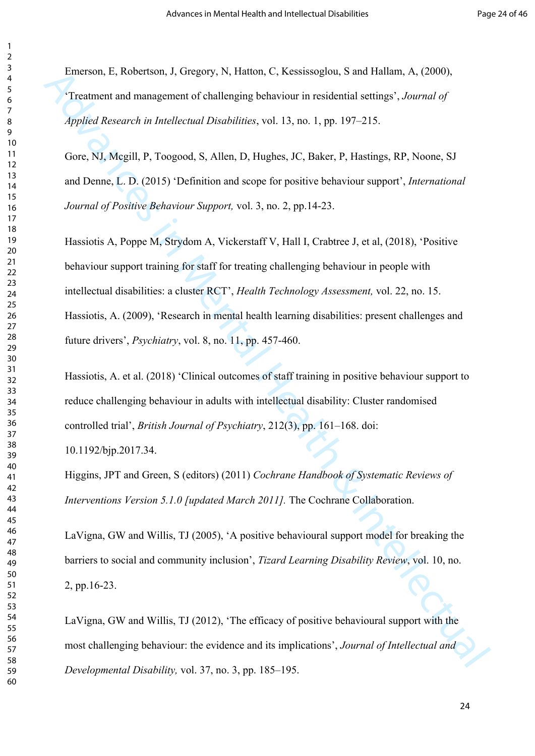Emerson, E, Robertson, J, Gregory, N, Hatton, C, Kessissoglou, S and Hallam, A, (2000), 'Treatment and management of challenging behaviour in residential settings', *Journal of Applied Research in Intellectual Disabilities*, vol. 13, no. 1, pp. 197–215.

Gore, NJ, Mcgill, P, Toogood, S, Allen, D, Hughes, JC, Baker, P, Hastings, RP, Noone, SJ and Denne, L. D. (2015) 'Definition and scope for positive behaviour support', *International Journal of Positive Behaviour Support,* vol. 3, no. 2, pp.14-23.

Fination, F., Robertson, J., Gregory, N., Hatton, C., Kassissoplou, S. and Haltam, A., (2000).<br>
"Treatment and management of challenging behaviour in residential settings", Journal of<br>  $\delta$ ppolical Research in Intellectua Hassiotis A, Poppe M, Strydom A, Vickerstaff V, Hall I, Crabtree J, et al, (2018), 'Positive behaviour support training for staff for treating challenging behaviour in people with intellectual disabilities: a cluster RCT', *Health Technology Assessment,* vol. 22, no. 15. Hassiotis, A. (2009), 'Research in mental health learning disabilities: present challenges and future drivers', *Psychiatry*, vol. 8, no. 11, pp. 457-460.

Hassiotis, A. et al. (2018) 'Clinical outcomes of staff training in positive behaviour support to reduce challenging behaviour in adults with intellectual disability: Cluster randomised controlled trial', *British Journal of Psychiatry*, 212(3), pp. 161–168. doi:

10.1192/bjp.2017.34.

Higgins, JPT and Green, S (editors) (2011) *Cochrane Handbook of Systematic Reviews of Interventions Version 5.1.0 [updated March 2011].* The Cochrane Collaboration.

LaVigna, GW and Willis, TJ (2005), 'A positive behavioural support model for breaking the barriers to social and community inclusion', *Tizard Learning Disability Review*, vol. 10, no. 2, pp.16-23.

LaVigna, GW and Willis, TJ (2012), 'The efficacy of positive behavioural support with the most challenging behaviour: the evidence and its implications', *Journal of Intellectual and Developmental Disability,* vol. 37, no. 3, pp. 185–195.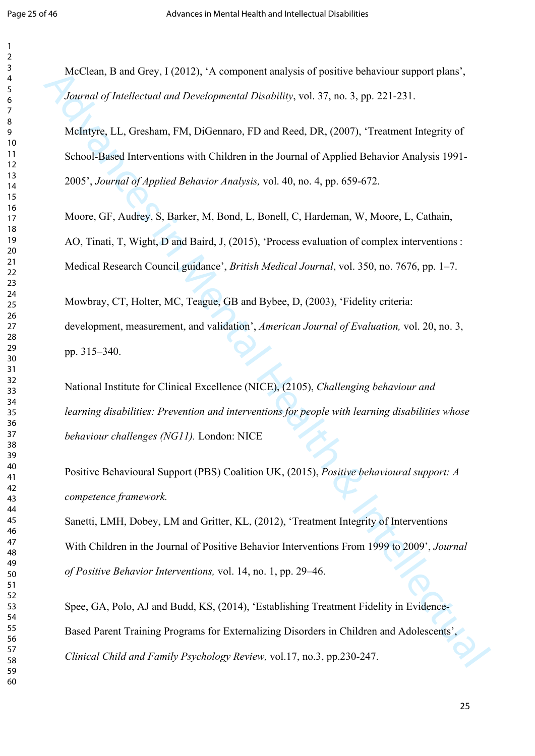McClean, B and Grey, I (2012), 'A component analysis of positive behaviour support plans', *Journal of Intellectual and Developmental Disability*, vol. 37, no. 3, pp. 221-231.

McClean, 14 and Grey, 1 (2012). A component analysis of positive behaviour support plans.<br> *Journal of Intellectual and Developmental Disability,* vol. 37, no. 3, pp. 221-231.<br>
McIntyre, LL, Gresham, FM, DiGennaro, FD and McIntyre, LL, Gresham, FM, DiGennaro, FD and Reed, DR, (2007), 'Treatment Integrity of School-Based Interventions with Children in the Journal of Applied Behavior Analysis 1991- 2005', *Journal of Applied Behavior Analysis,* vol. 40, no. 4, pp. 659-672.

Moore, GF, Audrey, S, Barker, M, Bond, L, Bonell, C, Hardeman, W, Moore, L, Cathain, AO, Tinati, T, Wight, D and Baird, J, (2015), 'Process evaluation of complex interventions : Medical Research Council guidance', *British Medical Journal*, vol. 350, no. 7676, pp. 1–7.

Mowbray, CT, Holter, MC, Teague, GB and Bybee, D, (2003), 'Fidelity criteria: development, measurement, and validation', *American Journal of Evaluation,* vol. 20, no. 3, pp. 315–340.

National Institute for Clinical Excellence (NICE), (2105), *Challenging behaviour and learning disabilities: Prevention and interventions for people with learning disabilities whose behaviour challenges (NG11).* London: NICE

Positive Behavioural Support (PBS) Coalition UK, (2015), *Positive behavioural support: A competence framework.*

Sanetti, LMH, Dobey, LM and Gritter, KL, (2012), 'Treatment Integrity of Interventions With Children in the Journal of Positive Behavior Interventions From 1999 to 2009', *Journal of Positive Behavior Interventions,* vol. 14, no. 1, pp. 29–46.

Spee, GA, Polo, AJ and Budd, KS, (2014), 'Establishing Treatment Fidelity in Evidence-Based Parent Training Programs for Externalizing Disorders in Children and Adolescents', *Clinical Child and Family Psychology Review,* vol.17, no.3, pp.230-247.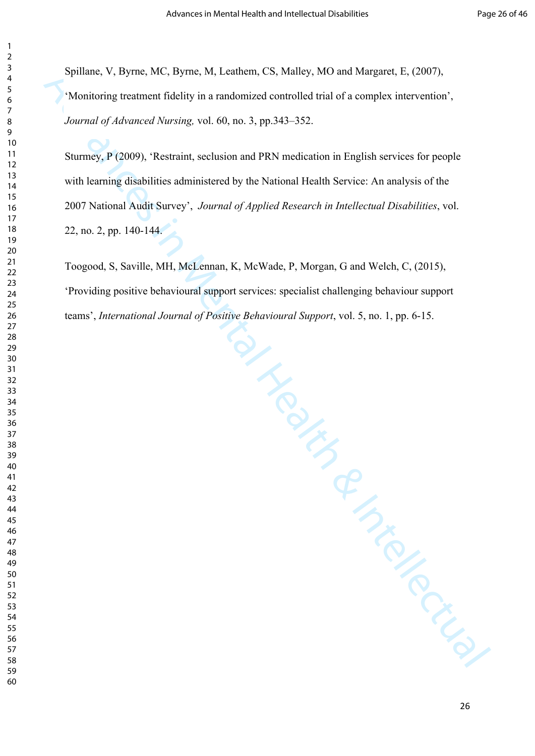Spillane, V, Byrne, MC, Byrne, M, Leathem, CS, Malley, MO and Margaret, E, (2007), 'Monitoring treatment fidelity in a randomized controlled trial of a complex intervention', *Journal of Advanced Nursing,* vol. 60, no. 3, pp.343–352.

Sturmey, P (2009), 'Restraint, seclusion and PRN medication in English services for people with learning disabilities administered by the National Health Service: An analysis of the 2007 National Audit Survey', *Journal of Applied Research in Intellectual Disabilities*, vol. 22, no. 2, pp. 140-144.

Toogood, S, Saville, MH, McLennan, K, McWade, P, Morgan, G and Welch, C, (2015), 'Providing positive behavioural support services: specialist challenging behaviour support teams', *International Journal of Positive Behavioural Support*, vol. 5, no. 1, pp. 6-15.

Spullanc, V. Hyme, M.C. Hyme, M.J. cannom, C.S. Malley, MO and Margaret, F., (2007),<br>
"Monitoring treatment fieldity in a randomized controlled trial of a complex intervention",<br> *Journal of Advanced Norsing,* vol. (4), no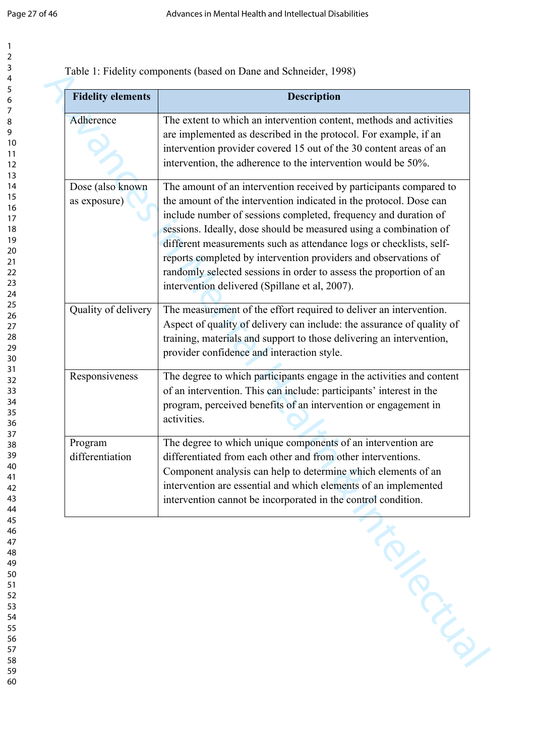Table 1: Fidelity components (based on Dane and Schneider, 1998)

| <b>Fidelity elements</b>         | <b>Description</b>                                                                                                                                                                                                                                                                                                                                                                                                                                                                                                                                 |
|----------------------------------|----------------------------------------------------------------------------------------------------------------------------------------------------------------------------------------------------------------------------------------------------------------------------------------------------------------------------------------------------------------------------------------------------------------------------------------------------------------------------------------------------------------------------------------------------|
| Adherence                        | The extent to which an intervention content, methods and activities<br>are implemented as described in the protocol. For example, if an<br>intervention provider covered 15 out of the 30 content areas of an<br>intervention, the adherence to the intervention would be 50%.                                                                                                                                                                                                                                                                     |
| Dose (also known<br>as exposure) | The amount of an intervention received by participants compared to<br>the amount of the intervention indicated in the protocol. Dose can<br>include number of sessions completed, frequency and duration of<br>sessions. Ideally, dose should be measured using a combination of<br>different measurements such as attendance logs or checklists, self-<br>reports completed by intervention providers and observations of<br>randomly selected sessions in order to assess the proportion of an<br>intervention delivered (Spillane et al, 2007). |
| Quality of delivery              | The measurement of the effort required to deliver an intervention.<br>Aspect of quality of delivery can include: the assurance of quality of<br>training, materials and support to those delivering an intervention,<br>provider confidence and interaction style.                                                                                                                                                                                                                                                                                 |
| Responsiveness                   | The degree to which participants engage in the activities and content<br>of an intervention. This can include: participants' interest in the<br>program, perceived benefits of an intervention or engagement in<br>activities.                                                                                                                                                                                                                                                                                                                     |
| Program<br>differentiation       | The degree to which unique components of an intervention are<br>differentiated from each other and from other interventions.<br>Component analysis can help to determine which elements of an<br>intervention are essential and which elements of an implemented<br>intervention cannot be incorporated in the control condition.                                                                                                                                                                                                                  |
|                                  | <b>Printin</b>                                                                                                                                                                                                                                                                                                                                                                                                                                                                                                                                     |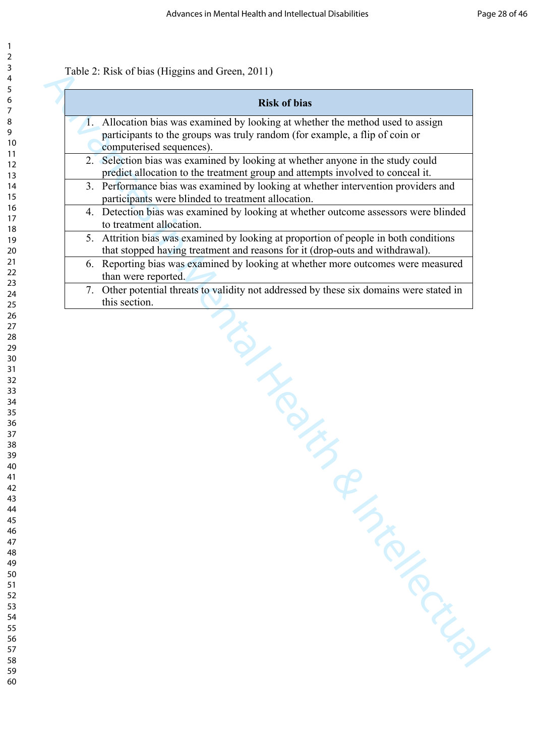#### Table 2: Risk of bias (Higgins and Green, 2011)

| <b>Risk of bias</b>                                                                                        |
|------------------------------------------------------------------------------------------------------------|
| 1. Allocation bias was examined by looking at whether the method used to assign                            |
| participants to the groups was truly random (for example, a flip of coin or                                |
| computerised sequences).<br>2. Selection bias was examined by looking at whether anyone in the study could |
| predict allocation to the treatment group and attempts involved to conceal it.                             |
| 3. Performance bias was examined by looking at whether intervention providers and                          |
| participants were blinded to treatment allocation.                                                         |
| 4. Detection bias was examined by looking at whether outcome assessors were blinded                        |
| to treatment allocation.                                                                                   |
| 5. Attrition bias was examined by looking at proportion of people in both conditions                       |
| that stopped having treatment and reasons for it (drop-outs and withdrawal).                               |
| 6. Reporting bias was examined by looking at whether more outcomes were measured<br>than were reported.    |
| 7. Other potential threats to validity not addressed by these six domains were stated in                   |
| this section.                                                                                              |
| INDUCTION<br>A TIMES                                                                                       |
|                                                                                                            |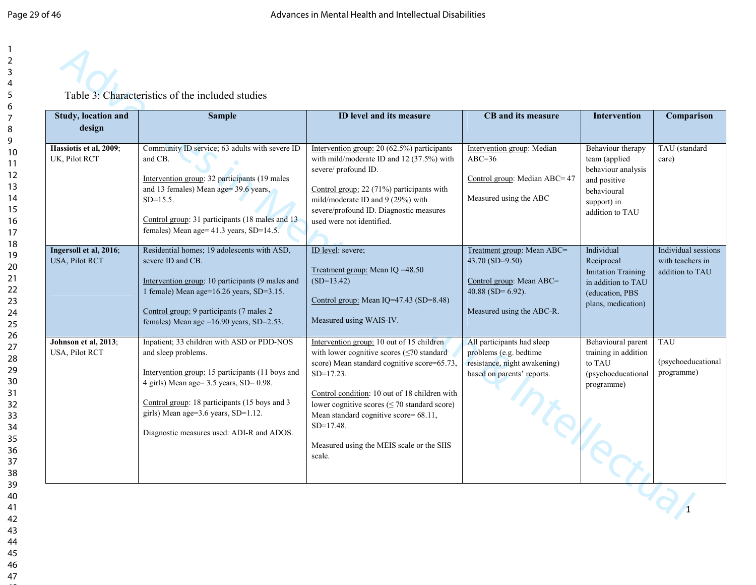

| Study, location and<br>design            | <b>Sample</b>                                                                                                                                                                                                                                                                                         | ID level and its measure                                                                                                                                                                                                                                                                                                                                                          | CB and its measure                                                                                                             | <b>Intervention</b>                                                                                                        | Comparison                                                 |
|------------------------------------------|-------------------------------------------------------------------------------------------------------------------------------------------------------------------------------------------------------------------------------------------------------------------------------------------------------|-----------------------------------------------------------------------------------------------------------------------------------------------------------------------------------------------------------------------------------------------------------------------------------------------------------------------------------------------------------------------------------|--------------------------------------------------------------------------------------------------------------------------------|----------------------------------------------------------------------------------------------------------------------------|------------------------------------------------------------|
| Hassiotis et al, 2009;<br>UK, Pilot RCT  | Community ID service; 63 adults with severe ID<br>and CB.<br>Intervention group: 32 participants (19 males)<br>and 13 females) Mean age= 39.6 years,<br>$SD=15.5$ .<br>Control group: 31 participants (18 males and 13<br>females) Mean age= 41.3 years, SD=14.5.                                     | Intervention group: 20 (62.5%) participants<br>with mild/moderate ID and $12$ (37.5%) with<br>severe/ profound ID.<br>Control group: 22 (71%) participants with<br>mild/moderate ID and 9 (29%) with<br>severe/profound ID. Diagnostic measures<br>used were not identified.                                                                                                      | Intervention group: Median<br>$ABC=36$<br>Control group: Median ABC= 47<br>Measured using the ABC                              | Behaviour therapy<br>team (applied)<br>behaviour analysis<br>and positive<br>behavioural<br>support) in<br>addition to TAU | TAU (standard<br>care)                                     |
| Ingersoll et al, 2016;<br>USA, Pilot RCT | Residential homes; 19 adolescents with ASD,<br>severe ID and CB.<br>Intervention group: 10 participants (9 males and<br>1 female) Mean age=16.26 years, SD=3.15.<br>Control group: 9 participants (7 males 2)<br>females) Mean age =16.90 years, SD=2.53.                                             | ID level: severe;<br>Treatment group: Mean IQ = 48.50<br>$(SD=13.42)$<br>Control group: Mean IQ=47.43 (SD=8.48)<br>Measured using WAIS-IV.                                                                                                                                                                                                                                        | Treatment group: Mean ABC=<br>43.70 (SD=9.50)<br>Control group: Mean ABC=<br>40.88 (SD= $6.92$ ).<br>Measured using the ABC-R. | Individual<br>Reciprocal<br><b>Imitation Training</b><br>in addition to TAU<br>(education, PBS<br>plans, medication)       | Individual sessions<br>with teachers in<br>addition to TAU |
| Johnson et al, 2013;<br>USA, Pilot RCT   | Inpatient; 33 children with ASD or PDD-NOS<br>and sleep problems.<br>Intervention group: 15 participants (11 boys and<br>4 girls) Mean age= 3.5 years, SD= 0.98.<br>Control group: 18 participants (15 boys and 3<br>girls) Mean age=3.6 years, SD=1.12.<br>Diagnostic measures used: ADI-R and ADOS. | Intervention group: 10 out of 15 children<br>with lower cognitive scores $(\leq 70$ standard<br>score) Mean standard cognitive score=65.73,<br>$SD=17.23$ .<br>Control condition: 10 out of 18 children with<br>lower cognitive scores $(\leq 70$ standard score)<br>Mean standard cognitive score= 68.11,<br>$SD=17.48$ .<br>Measured using the MEIS scale or the SIIS<br>scale. | All participants had sleep<br>problems (e.g. bedtime<br>resistance, night awakening)<br>based on parents' reports.<br>Ports.   | Behavioural parent<br>training in addition<br>to TAU<br>(psychoeducational<br>programme)                                   | <b>TAU</b><br>(psychoeducational<br>programme)             |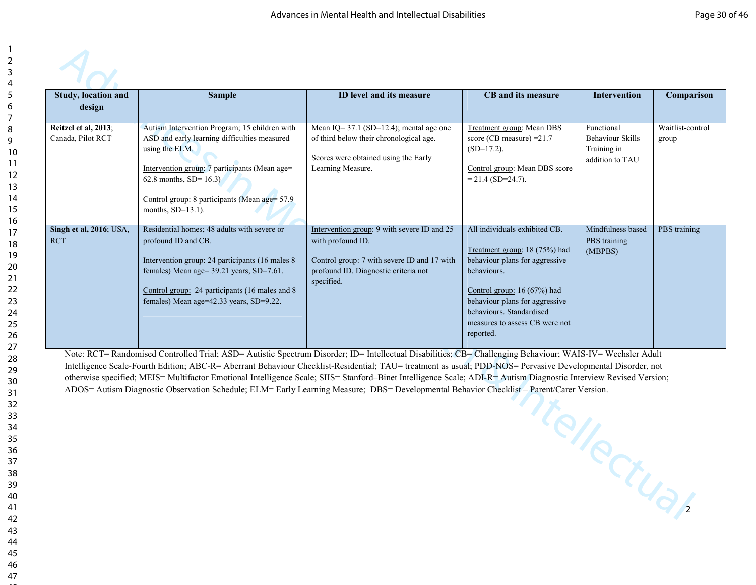| Reitzel et al, 2013;<br>Canada, Pilot RCT |                                                                                                                                                                                                                                                                       | ID level and its measure                                                                                                                                              | CB and its measure                                                                                                                                                                                                                                           | Intervention                                                            | Comparison                |
|-------------------------------------------|-----------------------------------------------------------------------------------------------------------------------------------------------------------------------------------------------------------------------------------------------------------------------|-----------------------------------------------------------------------------------------------------------------------------------------------------------------------|--------------------------------------------------------------------------------------------------------------------------------------------------------------------------------------------------------------------------------------------------------------|-------------------------------------------------------------------------|---------------------------|
|                                           | Autism Intervention Program; 15 children with<br>ASD and early learning difficulties measured<br>using the ELM.<br>Intervention group: 7 participants (Mean age=<br>62.8 months, $SD = 16.3$<br>Control group: 8 participants (Mean age= 57.9<br>months, $SD=13.1$ ). | Mean IQ= $37.1$ (SD=12.4); mental age one<br>of third below their chronological age.<br>Scores were obtained using the Early<br>Learning Measure.                     | Treatment group: Mean DBS<br>score (CB measure) $=21.7$<br>$(SD=17.2)$ .<br>Control group: Mean DBS score<br>$= 21.4$ (SD=24.7).                                                                                                                             | Functional<br><b>Behaviour Skills</b><br>Training in<br>addition to TAU | Waitlist-control<br>group |
| Singh et al, 2016; USA,<br><b>RCT</b>     | Residential homes; 48 adults with severe or<br>profound ID and CB.<br>Intervention group: 24 participants (16 males 8<br>females) Mean age= 39.21 years, SD=7.61.<br>Control group: 24 participants (16 males and 8)<br>females) Mean age=42.33 years, SD=9.22.       | Intervention group: 9 with severe ID and 25<br>with profound ID.<br>Control group: 7 with severe ID and 17 with<br>profound ID. Diagnostic criteria not<br>specified. | All individuals exhibited CB.<br>Treatment group: 18 (75%) had<br>behaviour plans for aggressive<br>behaviours.<br>Control group: $16(67%)$ had<br>behaviour plans for aggressive<br>behaviours. Standardised<br>measures to assess CB were not<br>reported. | Mindfulness based<br>PBS training<br>(MBPBS)                            | PBS training              |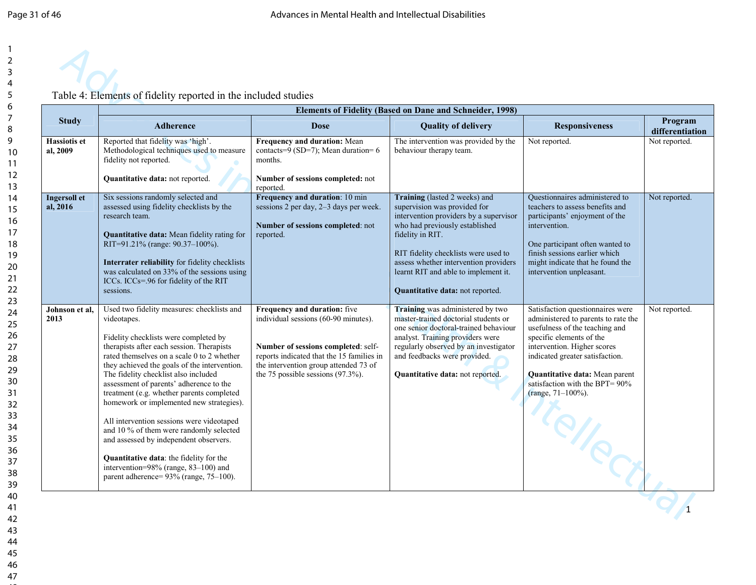|                                 | <b>Elements of Fidelity (Based on Dane and Schneider, 1998)</b>                                                                                                                                                                                                                                                                                                                                                                                                                                                                                                                                                                                                                                 |                                                                                                                                                                                                                                            |                                                                                                                                                                                                                                                                                                                                   |                                                                                                                                                                                                                                                                                                              |                            |  |  |  |  |
|---------------------------------|-------------------------------------------------------------------------------------------------------------------------------------------------------------------------------------------------------------------------------------------------------------------------------------------------------------------------------------------------------------------------------------------------------------------------------------------------------------------------------------------------------------------------------------------------------------------------------------------------------------------------------------------------------------------------------------------------|--------------------------------------------------------------------------------------------------------------------------------------------------------------------------------------------------------------------------------------------|-----------------------------------------------------------------------------------------------------------------------------------------------------------------------------------------------------------------------------------------------------------------------------------------------------------------------------------|--------------------------------------------------------------------------------------------------------------------------------------------------------------------------------------------------------------------------------------------------------------------------------------------------------------|----------------------------|--|--|--|--|
| <b>Study</b>                    | <b>Adherence</b>                                                                                                                                                                                                                                                                                                                                                                                                                                                                                                                                                                                                                                                                                | <b>Dose</b>                                                                                                                                                                                                                                | <b>Quality of delivery</b>                                                                                                                                                                                                                                                                                                        | <b>Responsiveness</b>                                                                                                                                                                                                                                                                                        | Program<br>differentiation |  |  |  |  |
| <b>Hassiotis et</b><br>al, 2009 | Reported that fidelity was 'high'.<br>Methodological techniques used to measure<br>fidelity not reported.<br>Quantitative data: not reported.                                                                                                                                                                                                                                                                                                                                                                                                                                                                                                                                                   | Frequency and duration: Mean<br>contacts=9 (SD=7); Mean duration= 6<br>months.<br>Number of sessions completed: not<br>reported.                                                                                                           | The intervention was provided by the<br>behaviour therapy team.                                                                                                                                                                                                                                                                   | Not reported.                                                                                                                                                                                                                                                                                                | Not reported.              |  |  |  |  |
| <b>Ingersoll</b> et<br>al, 2016 | Six sessions randomly selected and<br>assessed using fidelity checklists by the<br>research team.<br><b>Quantitative data:</b> Mean fidelity rating for<br>RIT=91.21% (range: 90.37-100%).<br>Interrater reliability for fidelity checklists<br>was calculated on 33% of the sessions using<br>ICCs. ICCs=.96 for fidelity of the RIT<br>sessions.                                                                                                                                                                                                                                                                                                                                              | Frequency and duration: 10 min<br>sessions 2 per day, 2-3 days per week.<br>Number of sessions completed: not<br>reported.                                                                                                                 | Training (lasted 2 weeks) and<br>supervision was provided for<br>intervention providers by a supervisor<br>who had previously established<br>fidelity in RIT.<br>RIT fidelity checklists were used to<br>assess whether intervention providers<br>learnt RIT and able to implement it.<br><b>Quantitative data:</b> not reported. | Ouestionnaires administered to<br>teachers to assess benefits and<br>participants' enjoyment of the<br>intervention.<br>One participant often wanted to<br>finish sessions earlier which<br>might indicate that he found the<br>intervention unpleasant.                                                     | Not reported.              |  |  |  |  |
| Johnson et al.<br>2013          | Used two fidelity measures: checklists and<br>videotapes.<br>Fidelity checklists were completed by<br>therapists after each session. Therapists<br>rated themselves on a scale 0 to 2 whether<br>they achieved the goals of the intervention.<br>The fidelity checklist also included<br>assessment of parents' adherence to the<br>treatment (e.g. whether parents completed<br>homework or implemented new strategies).<br>All intervention sessions were videotaped<br>and 10 % of them were randomly selected<br>and assessed by independent observers.<br><b>Quantitative data:</b> the fidelity for the<br>intervention=98% (range, 83-100) and<br>parent adherence= 93% (range, 75-100). | Frequency and duration: five<br>individual sessions (60-90 minutes).<br>Number of sessions completed: self-<br>reports indicated that the 15 families in<br>the intervention group attended 73 of<br>the 75 possible sessions $(97.3\%)$ . | Training was administered by two<br>master-trained doctorial students or<br>one senior doctoral-trained behaviour<br>analyst. Training providers were<br>regularly observed by an investigator<br>and feedbacks were provided.<br>Quantitative data: not reported.                                                                | Satisfaction questionnaires were<br>administered to parents to rate the<br>usefulness of the teaching and<br>specific elements of the<br>intervention. Higher scores<br>indicated greater satisfaction.<br>Quantitative data: Mean parent<br>satisfaction with the BPT= $90\%$<br>(range, 71-100%).<br>Telle | Not reported.              |  |  |  |  |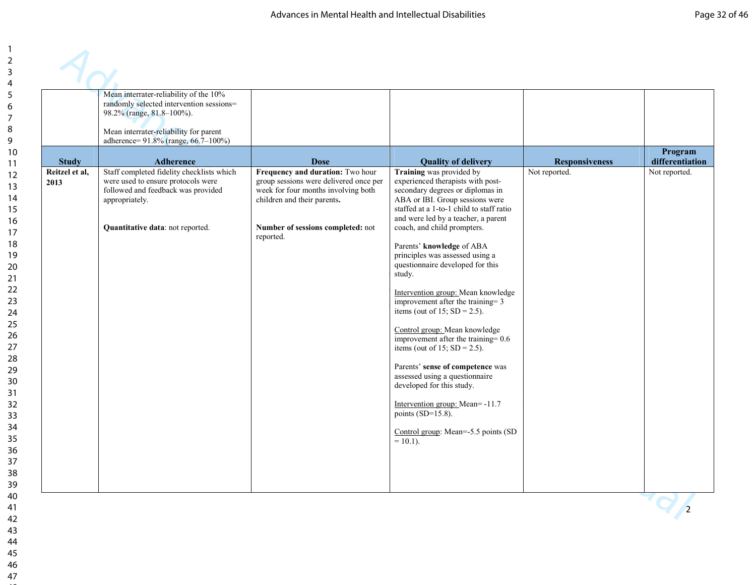|                        | Mean interrater-reliability of the 10%<br>randomly selected intervention sessions=<br>98.2% (range, 81.8-100%).<br>Mean interrater-reliability for parent<br>adherence= 91.8% (range, 66.7-100%) |                                                                                                                                                                                                    |                                                                                                                                                                                                                                                                                                                                                                                                                                                                                                                                                                                                                                                                                                                                                                                                                     |                       |                            |
|------------------------|--------------------------------------------------------------------------------------------------------------------------------------------------------------------------------------------------|----------------------------------------------------------------------------------------------------------------------------------------------------------------------------------------------------|---------------------------------------------------------------------------------------------------------------------------------------------------------------------------------------------------------------------------------------------------------------------------------------------------------------------------------------------------------------------------------------------------------------------------------------------------------------------------------------------------------------------------------------------------------------------------------------------------------------------------------------------------------------------------------------------------------------------------------------------------------------------------------------------------------------------|-----------------------|----------------------------|
| <b>Study</b>           | <b>Adherence</b>                                                                                                                                                                                 | <b>Dose</b>                                                                                                                                                                                        | <b>Quality of delivery</b>                                                                                                                                                                                                                                                                                                                                                                                                                                                                                                                                                                                                                                                                                                                                                                                          | <b>Responsiveness</b> | Program<br>differentiation |
| Reitzel et al.<br>2013 | Staff completed fidelity checklists which<br>were used to ensure protocols were<br>followed and feedback was provided<br>appropriately.<br>Quantitative data: not reported.                      | Frequency and duration: Two hour<br>group sessions were delivered once per<br>week for four months involving both<br>children and their parents.<br>Number of sessions completed: not<br>reported. | Training was provided by<br>experienced therapists with post-<br>secondary degrees or diplomas in<br>ABA or IBI. Group sessions were<br>staffed at a 1-to-1 child to staff ratio<br>and were led by a teacher, a parent<br>coach, and child prompters.<br>Parents' knowledge of ABA<br>principles was assessed using a<br>questionnaire developed for this<br>study.<br>Intervention group: Mean knowledge<br>improvement after the training $=$ 3<br>items (out of 15; $SD = 2.5$ ).<br>Control group: Mean knowledge<br>improvement after the training= 0.6<br>items (out of 15; $SD = 2.5$ ).<br>Parents' sense of competence was<br>assessed using a questionnaire<br>developed for this study.<br>Intervention group: Mean=-11.7<br>points $(SD=15.8)$ .<br>Control group: Mean=-5.5 points (SD<br>$= 10.1$ ). | Not reported.         | Not reported.              |
|                        |                                                                                                                                                                                                  |                                                                                                                                                                                                    |                                                                                                                                                                                                                                                                                                                                                                                                                                                                                                                                                                                                                                                                                                                                                                                                                     |                       | $\overline{2}$             |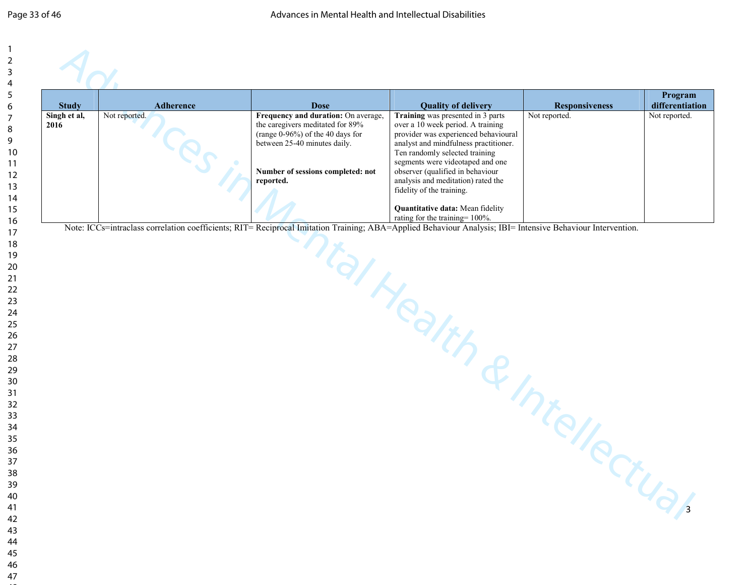| <b>Study</b>         | Adherence     | <b>Dose</b>                                                                                                                                                                                   | <b>Quality of delivery</b>                                                                                                                                                                                                                                                                                                                                                                                 | <b>Responsiveness</b> | Program<br>differentiation |
|----------------------|---------------|-----------------------------------------------------------------------------------------------------------------------------------------------------------------------------------------------|------------------------------------------------------------------------------------------------------------------------------------------------------------------------------------------------------------------------------------------------------------------------------------------------------------------------------------------------------------------------------------------------------------|-----------------------|----------------------------|
| Singh et al,<br>2016 | Not reported. | Frequency and duration: On average,<br>the caregivers meditated for 89%<br>(range 0-96%) of the 40 days for<br>between 25-40 minutes daily.<br>Number of sessions completed: not<br>reported. | Training was presented in 3 parts<br>over a 10 week period. A training<br>provider was experienced behavioural<br>analyst and mindfulness practitioner.<br>Ten randomly selected training<br>segments were videotaped and one<br>observer (qualified in behaviour<br>analysis and meditation) rated the<br>fidelity of the training.<br>Quantitative data: Mean fidelity<br>rating for the training= 100%. | Not reported.         | Not reported.              |
|                      |               |                                                                                                                                                                                               | I Health & Intellectue                                                                                                                                                                                                                                                                                                                                                                                     |                       |                            |
|                      |               |                                                                                                                                                                                               |                                                                                                                                                                                                                                                                                                                                                                                                            |                       |                            |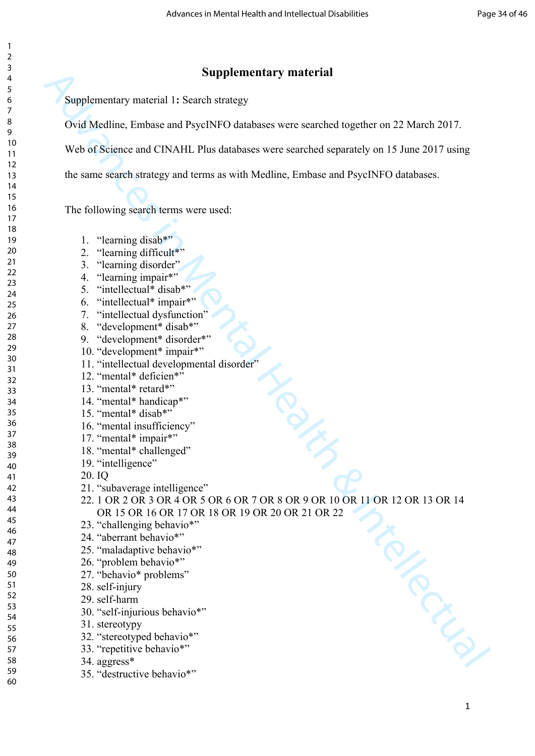#### **Supplementary material**

Supplementary material 1**:** Search strategy

Ovid Medline, Embase and PsycINFO databases were searched together on 22 March 2017.

Web of Science and CINAHL Plus databases were searched separately on 15 June 2017 using

the same search strategy and terms as with Medline, Embase and PsycINFO databases.

The following search terms were used:

- 1. "learning disab\*"
- 2. "learning difficult\*"
- 3. "learning disorder"
- 4. "learning impair\*"
- 5. "intellectual\* disab\*"
- 6. "intellectual\* impair\*"
- 7. "intellectual dysfunction"
- 8. "development\* disab\*"
- 9. "development\* disorder\*"
- 10. "development\* impair\*"
- 11. "intellectual developmental disorder"
- 12. "mental\* deficien\*"
- 13. "mental\* retard\*"
- 14. "mental\* handicap\*"
- 15. "mental\* disab\*"
- 16. "mental insufficiency"
- 17. "mental\* impair\*"
- 18. "mental\* challenged"
- 19. "intelligence"
- 20. IQ
- 21. "subaverage intelligence"
- **Supplementary material**<br>
Supplementary material<br>
1. Source are red PsychNFO diabases were searched orgather on 22 March 2017<br>
We be distance and CDNAIL Plus databases were searched separately on 15 June 2017 using<br>
the s 22. 1 OR 2 OR 3 OR 4 OR 5 OR 6 OR 7 OR 8 OR 9 OR 10 OR 11 OR 12 OR 13 OR 14 OR 15 OR 16 OR 17 OR 18 OR 19 OR 20 OR 21 OR 22
	- 23. "challenging behavio\*"
	- 24. "aberrant behavio\*"
	- 25. "maladaptive behavio\*"
		- 26. "problem behavio\*"
		- 27. "behavio\* problems"
		- 28. self-injury
		- 29. self-harm
		- 30. "self-injurious behavio\*"
		- 31. stereotypy
		- 32. "stereotyped behavio\*"
		- 33. "repetitive behavio\*"
		- 34. aggress\*
	- 35. "destructive behavio\*"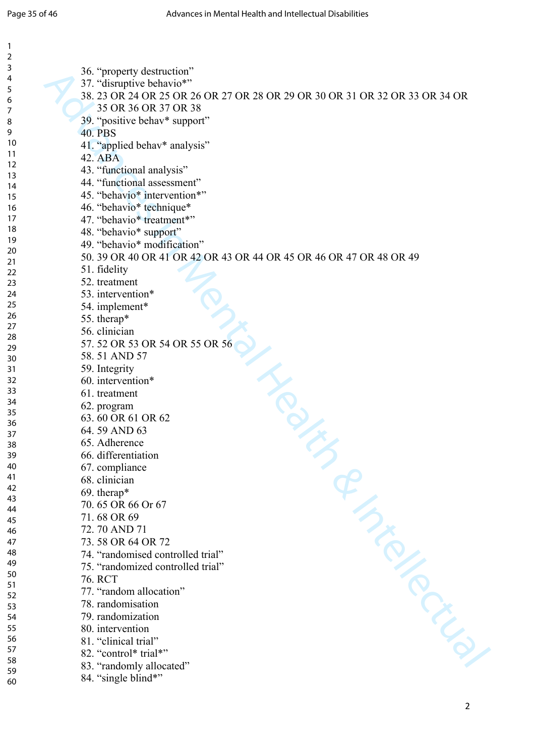| $\mathbf{1}$   |                                                                             |
|----------------|-----------------------------------------------------------------------------|
| $\overline{2}$ |                                                                             |
| 3<br>4         | 36. "property destruction"                                                  |
| 5              | 37. "disruptive behavio*"                                                   |
| 6              | 38, 23 OR 24 OR 25 OR 26 OR 27 OR 28 OR 29 OR 30 OR 31 OR 32 OR 33 OR 34 OR |
| 7              | 35 OR 36 OR 37 OR 38                                                        |
| 8              | 39. "positive behav* support"                                               |
| 9              | <b>40. PBS</b>                                                              |
| 10             | 41. "applied behav* analysis"                                               |
| 11             | 42. ABA                                                                     |
| 12             | 43. "functional analysis"                                                   |
| 13             | 44. "functional assessment"                                                 |
| 14             | 45. "behavio* intervention*"                                                |
| 15             |                                                                             |
| 16             | 46. "behavio* technique*                                                    |
| 17<br>18       | 47. "behavio* treatment*"                                                   |
| 19             | 48. "behavio* support"                                                      |
| 20             | 49. "behavio* modification"                                                 |
| 21             | 50, 39 OR 40 OR 41 OR 42 OR 43 OR 44 OR 45 OR 46 OR 47 OR 48 OR 49          |
| 22             | 51. fidelity                                                                |
| 23             | 52. treatment                                                               |
| 24             | 53. intervention*                                                           |
| 25             | 54. implement*                                                              |
| 26             | 55. therap*                                                                 |
| 27             | 56. clinician                                                               |
| 28             | 57.52 OR 53 OR 54 OR 55 OR 56                                               |
| 29             | 58.51 AND 57                                                                |
| 30<br>31       | 59. Integrity                                                               |
| 32             | 60. intervention*                                                           |
| 33             |                                                                             |
| 34             | 61. treatment                                                               |
| 35             | 62. program                                                                 |
| 36             | 63.60 OR 61 OR 62                                                           |
| 37             | 64.59 AND 63                                                                |
| 38             | 65. Adherence                                                               |
| 39             | 66. differentiation                                                         |
| 40             | 67. compliance                                                              |
| 41             | 68. clinician                                                               |
| 42             | 69. therap*                                                                 |
| 43<br>44       | 70.65 OR 66 Or 67                                                           |
| 45             | 71.68 OR 69                                                                 |
| 46             | 72.70 AND 71                                                                |
| 47             | 73.58 OR 64 OR 72                                                           |
| 48             | 74. "randomised controlled trial"                                           |
| 49             | 75. "randomized controlled trial"                                           |
| 50             | 76. RCT                                                                     |
| 51             | 77. "random allocation"                                                     |
| 52             | RIVER CRIME                                                                 |
| 53             | 78. randomisation                                                           |
| 54             | 79. randomization                                                           |
| 55             | 80. intervention                                                            |
| 56<br>57       | 81. "clinical trial"                                                        |
| 58             | 82. "control* trial*"                                                       |
| 59             | 83. "randomly allocated"                                                    |
| 60             | 84. "single blind*"                                                         |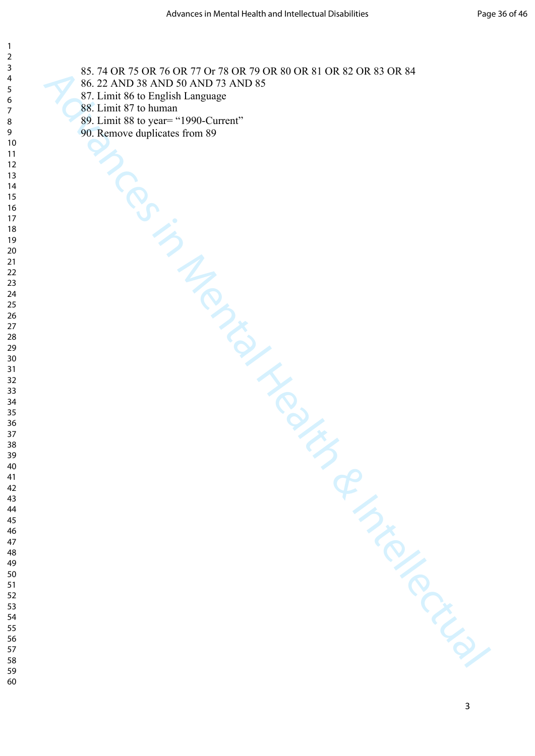> AS ADVANCE AND SAND TAND IS AND AND IS AND AND IS AND AND IS AND AND IS AND AND IS AND AND IS AND AND IS AND A<br>
> SE LEAND IS AND SAND TAND AS THE RESERVE OF THE RESERVE OF THE RESERVE OF THE RESERVE OF THE RESERVE OF THE RE 85. 74 OR 75 OR 76 OR 77 Or 78 OR 79 OR 80 OR 81 OR 82 OR 83 OR 84

- 86. 22 AND 38 AND 50 AND 73 AND 85
- 87. Limit 86 to English Language
- 88. Limit 87 to human
- 89. Limit 88 to year= "1990-Current"
- 90. Remove duplicates from 89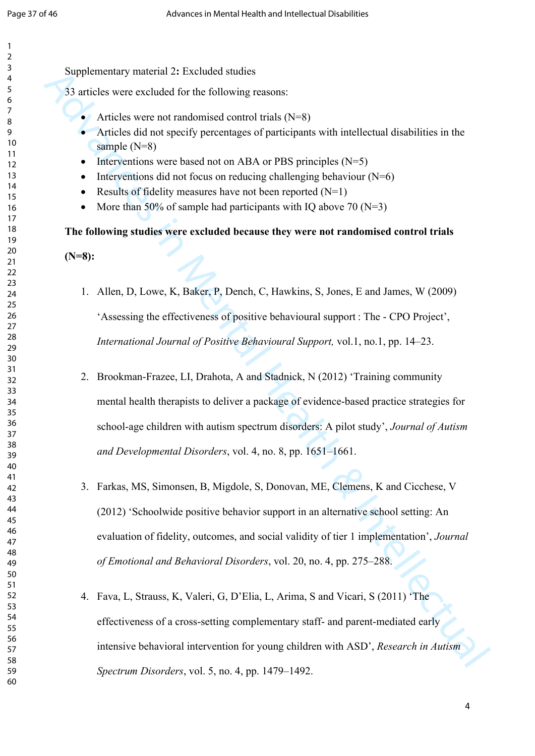Supplementary material 2**:** Excluded studies

33 articles were excluded for the following reasons:

- Articles were not randomised control trials  $(N=8)$
- Articles did not specify percentages of participants with intellectual disabilities in the sample (N=8)
- Interventions were based not on ABA or PBS principles  $(N=5)$
- Interventions did not focus on reducing challenging behaviour  $(N=6)$
- Results of fidelity measures have not been reported  $(N=1)$
- More than 50% of sample had participants with IQ above 70 ( $N=3$ )

**The following studies were excluded because they were not randomised control trials** 

**(N=8):**

- 1. Allen, D, Lowe, K, Baker, P, Dench, C, Hawkins, S, Jones, E and James, W (2009) 'Assessing the effectiveness of positive behavioural support : The - CPO Project', *International Journal of Positive Behavioural Support,* vol.1, no.1, pp. 14–23.
- Supplementarial 2: Feveluaris matrial 2:<br>
32 staticles were excluded for the following reasons:<br> **A** Articles were not randomized control trails (N=8)<br> **Articles there not randomized control trails (N=8)**<br> **Articles disto** 2. Brookman-Frazee, LI, Drahota, A and Stadnick, N (2012) 'Training community mental health therapists to deliver a package of evidence-based practice strategies for school-age children with autism spectrum disorders: A pilot study', *Journal of Autism and Developmental Disorders*, vol. 4, no. 8, pp. 1651–1661.
	- 3. Farkas, MS, Simonsen, B, Migdole, S, Donovan, ME, Clemens, K and Cicchese, V (2012) 'Schoolwide positive behavior support in an alternative school setting: An evaluation of fidelity, outcomes, and social validity of tier 1 implementation', *Journal of Emotional and Behavioral Disorders*, vol. 20, no. 4, pp. 275–288.
	- 4. Fava, L, Strauss, K, Valeri, G, D'Elia, L, Arima, S and Vicari, S (2011) 'The effectiveness of a cross-setting complementary staff- and parent-mediated early intensive behavioral intervention for young children with ASD', *Research in Autism Spectrum Disorders*, vol. 5, no. 4, pp. 1479–1492.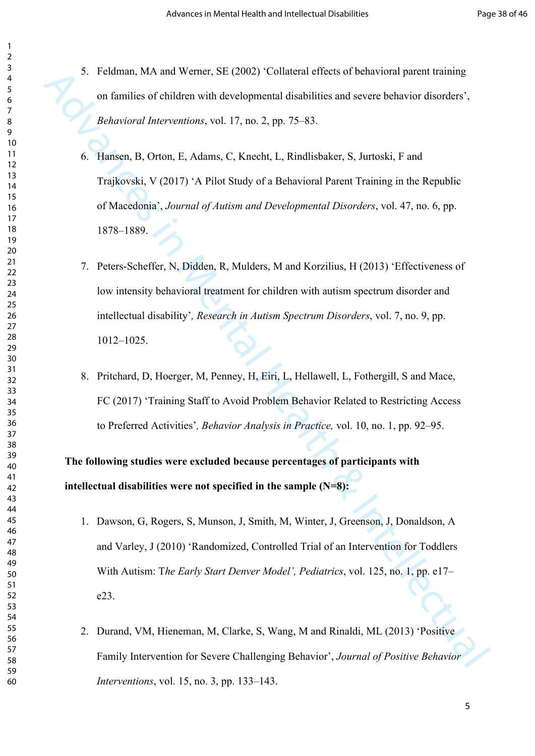- 5. Feldman, MA and Werner, SE (2002) 'Collateral effects of behavioral parent training on families of children with developmental disabilities and severe behavior disorders', *Behavioral Interventions*, vol. 17, no. 2, pp. 75–83.
- S Eclaman, MA and Wenter, SF (2002) Collstered Felcots of behavioral guest training<br>on furnities of children with developmental disabilities and severe behavior disarders',<br>Reheavioral Interventions, vol. 17, no. 2, pp. 7 6. Hansen, B, Orton, E, Adams, C, Knecht, L, Rindlisbaker, S, Jurtoski, F and Trajkovski, V (2017) 'A Pilot Study of a Behavioral Parent Training in the Republic of Macedonia', *Journal of Autism and Developmental Disorders*, vol. 47, no. 6, pp. 1878–1889.
	- 7. Peters-Scheffer, N, Didden, R, Mulders, M and Korzilius, H (2013) 'Effectiveness of low intensity behavioral treatment for children with autism spectrum disorder and intellectual disability'*, Research in Autism Spectrum Disorders*, vol. 7, no. 9, pp. 1012–1025.
	- 8. Pritchard, D, Hoerger, M, Penney, H, Eiri, L, Hellawell, L, Fothergill, S and Mace, FC (2017) 'Training Staff to Avoid Problem Behavior Related to Restricting Access to Preferred Activities'*, Behavior Analysis in Practice,* vol. 10, no. 1, pp. 92–95.

**The following studies were excluded because percentages of participants with intellectual disabilities were not specified in the sample (N=8):**

- 1. Dawson, G, Rogers, S, Munson, J, Smith, M, Winter, J, Greenson, J, Donaldson, A and Varley, J (2010) 'Randomized, Controlled Trial of an Intervention for Toddlers With Autism: T*he Early Start Denver Model', Pediatrics*, vol. 125, no. 1, pp. e17– e23.
- 2. Durand, VM, Hieneman, M, Clarke, S, Wang, M and Rinaldi, ML (2013) 'Positive Family Intervention for Severe Challenging Behavior', *Journal of Positive Behavior Interventions*, vol. 15, no. 3, pp. 133–143.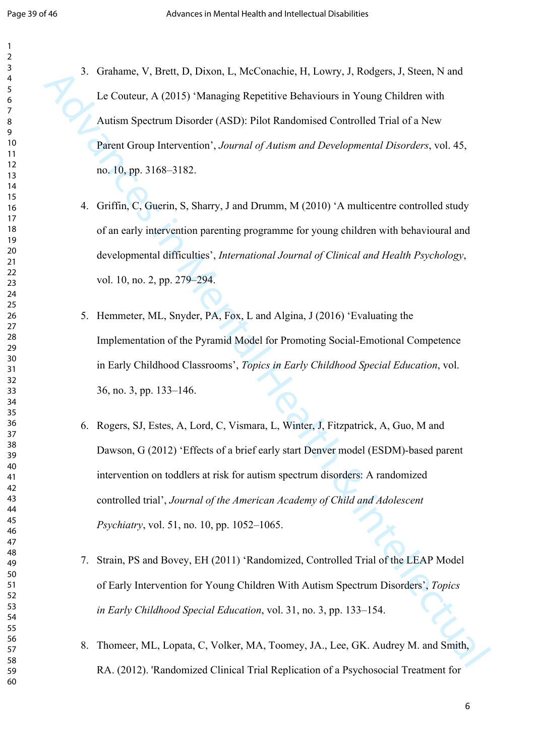- 3. Grahame, V, Brett, D, Dixon, L, McConachie, H, Lowry, J, Rodgers, J, Steen, N and Le Couteur, A (2015) 'Managing Repetitive Behaviours in Young Children with Autism Spectrum Disorder (ASD): Pilot Randomised Controlled Trial of a New Parent Group Intervention', *Journal of Autism and Developmental Disorders*, vol. 45, no. 10, pp. 3168–3182.
- 4. Griffin, C, Guerin, S, Sharry, J and Drumm, M (2010) 'A multicentre controlled study of an early intervention parenting programme for young children with behavioural and developmental difficulties', *International Journal of Clinical and Health Psychology*, vol. 10, no. 2, pp. 279–294.
- 5. Hemmeter, ML, Snyder, PA, Fox, L and Algina, J (2016) 'Evaluating the Implementation of the Pyramid Model for Promoting Social-Emotional Competence in Early Childhood Classrooms', *Topics in Early Childhood Special Education*, vol. 36, no. 3, pp. 133–146.
- 3 Grahame, V, Hvett, D, Dixon, L, McConnebie, H, Lowry, J, Rodgers, J, Steen, N, and<br>
Le Couteur, A (2015) "Managing Repetitive Behaviours in Young Children with<br>
Automatic Secure Intervention', Journal of datition and De 6. Rogers, SJ, Estes, A, Lord, C, Vismara, L, Winter, J, Fitzpatrick, A, Guo, M and Dawson, G (2012) 'Effects of a brief early start Denver model (ESDM)-based parent intervention on toddlers at risk for autism spectrum disorders: A randomized controlled trial', *Journal of the American Academy of Child and Adolescent Psychiatry*, vol. 51, no. 10, pp. 1052–1065.
	- 7. Strain, PS and Bovey, EH (2011) 'Randomized, Controlled Trial of the LEAP Model of Early Intervention for Young Children With Autism Spectrum Disorders', *Topics in Early Childhood Special Education*, vol. 31, no. 3, pp. 133–154.
	- 8. Thomeer, ML, Lopata, C, Volker, MA, Toomey, JA., Lee, GK. Audrey M. and Smith, RA. (2012). 'Randomized Clinical Trial Replication of a Psychosocial Treatment for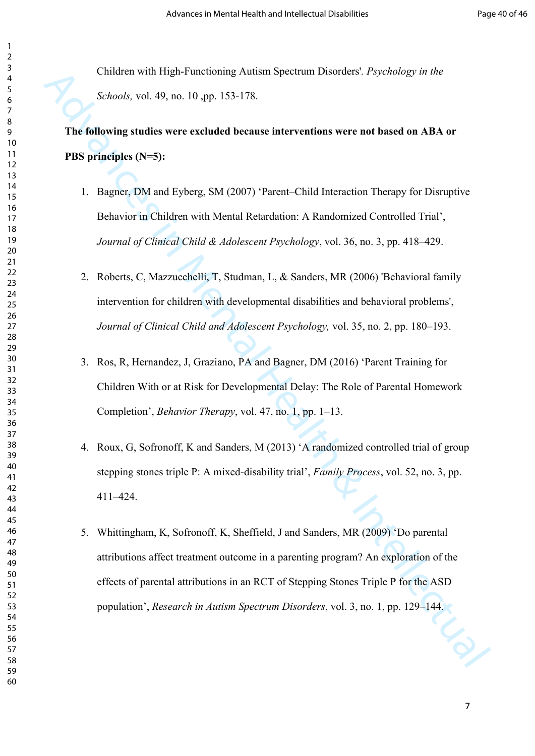Children with High-Functioning Autism Spectrum Disorders'*. Psychology in the Schools,* vol. 49, no. 10 ,pp. 153-178.

# **The following studies were excluded because interventions were not based on ABA or PBS principles (N=5):**

- 1. Bagner, DM and Eyberg, SM (2007) 'Parent–Child Interaction Therapy for Disruptive Behavior in Children with Mental Retardation: A Randomized Controlled Trial', *Journal of Clinical Child & Adolescent Psychology*, vol. 36, no. 3, pp. 418–429.
- 2. Roberts, C, Mazzucchelli, T, Studman, L, & Sanders, MR (2006) 'Behavioral family intervention for children with developmental disabilities and behavioral problems', *Journal of Clinical Child and Adolescent Psychology,* vol. 35, no*.* 2, pp. 180–193.
- 3. Ros, R, Hernandez, J, Graziano, PA and Bagner, DM (2016) 'Parent Training for Children With or at Risk for Developmental Delay: The Role of Parental Homework Completion', *Behavior Therapy*, vol. 47, no. 1, pp. 1–13.
- 4. Roux, G, Sofronoff, K and Sanders, M (2013) 'A randomized controlled trial of group stepping stones triple P: A mixed-disability trial', *Family Process*, vol. 52, no. 3, pp. 411–424.
- Children with High-Functioning Autism Spectrum Disorders' Psychology in the<br>
Schools, vel. 49, no. 10, np. 153-178.<br>
The following studies were excluded because interventions were not based on ABA or<br>
PBS principles (N-5) 5. Whittingham, K, Sofronoff, K, Sheffield, J and Sanders, MR (2009) 'Do parental attributions affect treatment outcome in a parenting program? An exploration of the effects of parental attributions in an RCT of Stepping Stones Triple P for the ASD population', *Research in Autism Spectrum Disorders*, vol. 3, no. 1, pp. 129–144.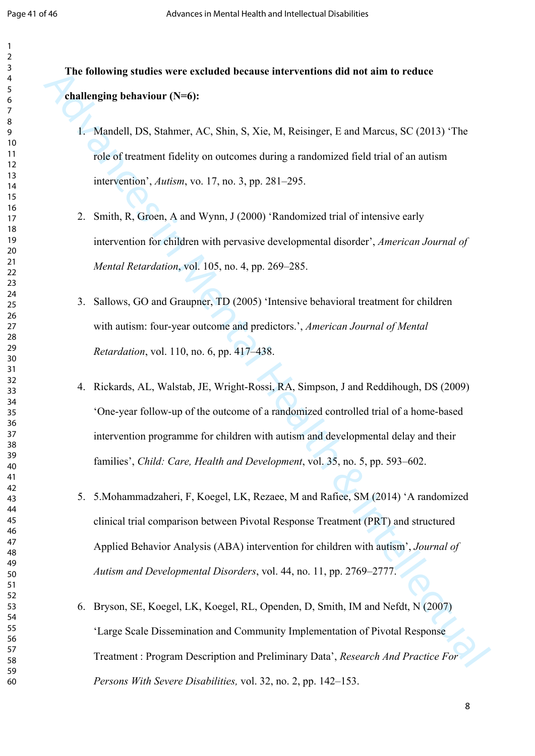# **The following studies were excluded because interventions did not aim to reduce challenging behaviour (N=6):**

- 1. Mandell, DS, Stahmer, AC, Shin, S, Xie, M, Reisinger, E and Marcus, SC (2013) 'The role of treatment fidelity on outcomes during a randomized field trial of an autism intervention', *Autism*, vo. 17, no. 3, pp. 281–295.
- 2. Smith, R, Groen, A and Wynn, J (2000) 'Randomized trial of intensive early intervention for children with pervasive developmental disorder', *American Journal of Mental Retardation*, vol. 105, no. 4, pp. 269–285.
- 3. Sallows, GO and Graupner, TD (2005) 'Intensive behavioral treatment for children with autism: four-year outcome and predictors.', *American Journal of Mental Retardation*, vol. 110, no. 6, pp. 417–438.
- 4. Rickards, AL, Walstab, JE, Wright-Rossi, RA, Simpson, J and Reddihough, DS (2009) 'One-year follow-up of the outcome of a randomized controlled trial of a home-based intervention programme for children with autism and developmental delay and their families', *Child: Care, Health and Development*, vol. 35, no. 5, pp. 593–602.
- The following studies were excluded because interventions did not aim to reduce<br>
challenging behaviour (N=6):<br>
1. Mundell, DS. Sudmret, AC. Shin, S. Xie, M, Reisinger, E and Marcus, SC (2013) The<br>
1. Mundell, DS. Sudmret, 5. 5.Mohammadzaheri, F, Koegel, LK, Rezaee, M and Rafiee, SM (2014) 'A randomized clinical trial comparison between Pivotal Response Treatment (PRT) and structured Applied Behavior Analysis (ABA) intervention for children with autism', *Journal of Autism and Developmental Disorders*, vol. 44, no. 11, pp. 2769–2777.
	- 6. Bryson, SE, Koegel, LK, Koegel, RL, Openden, D, Smith, IM and Nefdt, N (2007) 'Large Scale Dissemination and Community Implementation of Pivotal Response Treatment : Program Description and Preliminary Data', *Research And Practice For Persons With Severe Disabilities,* vol. 32, no. 2, pp. 142–153.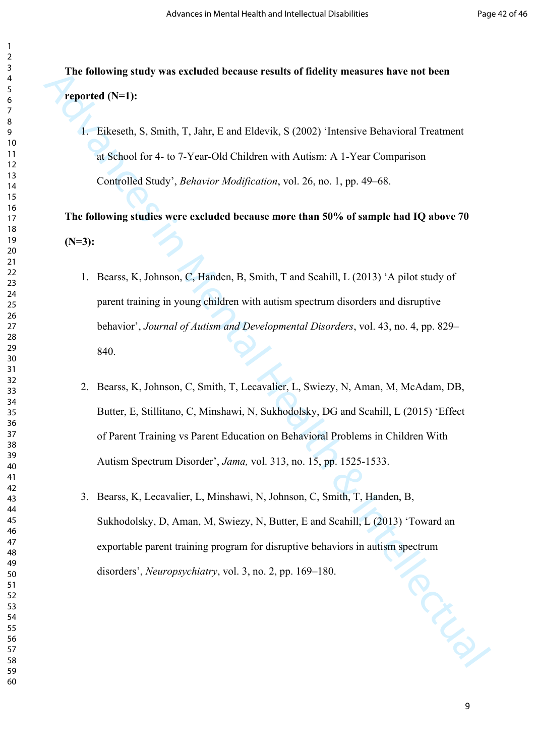**The following study was excluded because results of fidelity measures have not been reported (N=1):**

1. Eikeseth, S, Smith, T, Jahr, E and Eldevik, S (2002) 'Intensive Behavioral Treatment at School for 4- to 7-Year-Old Children with Autism: A 1-Year Comparison Controlled Study', *Behavior Modification*, vol. 26, no. 1, pp. 49–68.

**The following studies were excluded because more than 50% of sample had IQ above 70 (N=3):**

- 1. Bearss, K, Johnson, C, Handen, B, Smith, T and Scahill, L (2013) 'A pilot study of parent training in young children with autism spectrum disorders and disruptive behavior', *Journal of Autism and Developmental Disorders*, vol. 43, no. 4, pp. 829– 840.
- The following study was excluded because results of Idelity measures have not been<br>
respected (N=1):<br>
1. Eikereth, S., Smith, T., Jahr, E. and Eldevik. S. (2002) "Intensive Behavioral Treatment<br>
or School for 4-to 7-Year-2. Bearss, K, Johnson, C, Smith, T, Lecavalier, L, Swiezy, N, Aman, M, McAdam, DB, Butter, E, Stillitano, C, Minshawi, N, Sukhodolsky, DG and Scahill, L (2015) 'Effect of Parent Training vs Parent Education on Behavioral Problems in Children With Autism Spectrum Disorder', *Jama,* vol. 313, no. 15, pp. 1525-1533.
	- 3. Bearss, K, Lecavalier, L, Minshawi, N, Johnson, C, Smith, T, Handen, B, Sukhodolsky, D, Aman, M, Swiezy, N, Butter, E and Scahill, L (2013) 'Toward an exportable parent training program for disruptive behaviors in autism spectrum disorders', *Neuropsychiatry*, vol. 3, no. 2, pp. 169–180.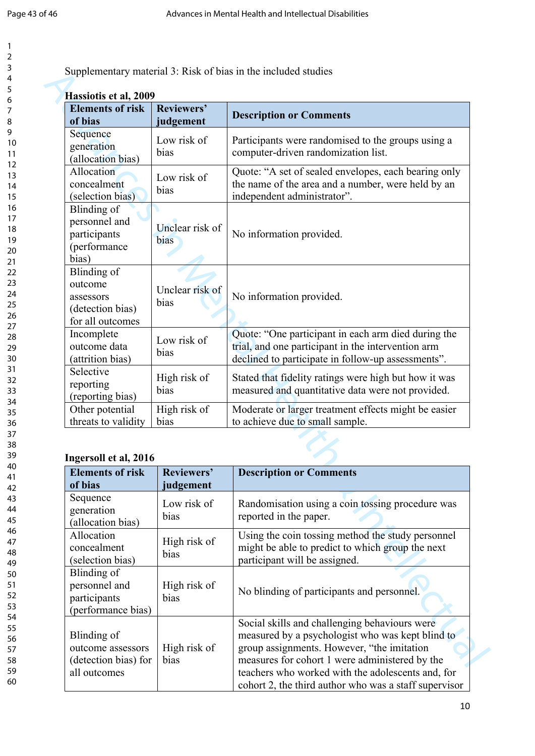| 2                                         |  |
|-------------------------------------------|--|
| 3                                         |  |
|                                           |  |
| 4                                         |  |
| 5                                         |  |
| 6                                         |  |
|                                           |  |
|                                           |  |
| 8                                         |  |
| 9                                         |  |
| 10                                        |  |
| 1                                         |  |
| 1                                         |  |
| 1<br>$\overline{2}$                       |  |
| 3<br>1                                    |  |
| 1<br>4                                    |  |
|                                           |  |
| 5<br>1                                    |  |
| 16                                        |  |
| 1                                         |  |
| 18                                        |  |
|                                           |  |
| 19                                        |  |
| 20                                        |  |
| $\overline{21}$                           |  |
|                                           |  |
| $\overline{2}$<br>$\overline{2}$          |  |
| 23                                        |  |
| $\frac{24}{3}$                            |  |
| 25                                        |  |
|                                           |  |
| 26                                        |  |
| 27                                        |  |
| 28                                        |  |
|                                           |  |
| 29                                        |  |
| 30                                        |  |
| $\overline{\textbf{3}}$                   |  |
| $\overline{\mathbf{3}}$<br>$\overline{2}$ |  |
|                                           |  |
| $\overline{\mathbf{3}}$<br>3              |  |
| 34                                        |  |
| 35                                        |  |
|                                           |  |
| 36                                        |  |
| 37                                        |  |
| 38                                        |  |
| $\frac{3}{2}$<br>C                        |  |
|                                           |  |
| 40                                        |  |
| 41                                        |  |
| 4.<br>,                                   |  |
| ξ                                         |  |
| $\ddot{4}$                                |  |
| 44                                        |  |
| 45                                        |  |
| 46                                        |  |
|                                           |  |
| 47                                        |  |
| 48                                        |  |
| 49                                        |  |
|                                           |  |
| 50                                        |  |
| 51                                        |  |
| 5.<br>$\overline{ }$                      |  |
| 5.<br>ξ                                   |  |
|                                           |  |
| 54                                        |  |
| 55                                        |  |
| 56                                        |  |
| 57                                        |  |
|                                           |  |
| 58                                        |  |

59 60

| Supplementary material 3: Risk of bias in the included studies |  |  |  |
|----------------------------------------------------------------|--|--|--|
|                                                                |  |  |  |

| Hassiotis et al, 2009<br><b>Elements of risk</b> | Reviewers'      |                                                                                              |
|--------------------------------------------------|-----------------|----------------------------------------------------------------------------------------------|
| of bias                                          | judgement       | <b>Description or Comments</b>                                                               |
| Sequence                                         | Low risk of     |                                                                                              |
| generation                                       | bias            | Participants were randomised to the groups using a                                           |
| (allocation bias)                                |                 | computer-driven randomization list.                                                          |
| Allocation                                       | Low risk of     | Quote: "A set of sealed envelopes, each bearing only                                         |
| concealment                                      | bias            | the name of the area and a number, were held by an                                           |
| (selection bias)                                 |                 | independent administrator".                                                                  |
| Blinding of                                      |                 |                                                                                              |
| personnel and                                    | Unclear risk of |                                                                                              |
| participants                                     |                 | No information provided.                                                                     |
| (performance                                     | bias            |                                                                                              |
| bias)                                            |                 |                                                                                              |
| Blinding of                                      |                 |                                                                                              |
| outcome                                          |                 |                                                                                              |
| assessors                                        | Unclear risk of | No information provided.                                                                     |
| (detection bias)                                 | bias            |                                                                                              |
| for all outcomes                                 |                 |                                                                                              |
| Incomplete                                       |                 | Quote: "One participant in each arm died during the                                          |
| outcome data                                     | Low risk of     | trial, and one participant in the intervention arm                                           |
| (attrition bias)                                 | bias            | declined to participate in follow-up assessments".                                           |
| Selective                                        | High risk of    | Stated that fidelity ratings were high but how it was                                        |
| reporting                                        | bias            | measured and quantitative data were not provided.                                            |
| (reporting bias)                                 |                 |                                                                                              |
| Other potential                                  | High risk of    | Moderate or larger treatment effects might be easier                                         |
| threats to validity                              | bias            | to achieve due to small sample.                                                              |
|                                                  |                 |                                                                                              |
|                                                  |                 |                                                                                              |
| Ingersoll et al, 2016                            |                 |                                                                                              |
| Elements of risk   Reviewers'                    |                 | <b>Description or Comments</b>                                                               |
| of bias                                          | judgement       |                                                                                              |
| Sequence<br>generation                           | Low risk of     | Randomisation using a coin tossing procedure was                                             |
|                                                  | bias            | reported in the paper.                                                                       |
| (allocation bias)<br>Allocation                  |                 |                                                                                              |
| concealment                                      | High risk of    | Using the coin tossing method the study personnel                                            |
|                                                  | bias            | might be able to predict to which group the next                                             |
| (selection bias)                                 |                 | participant will be assigned.                                                                |
| Blinding of                                      |                 |                                                                                              |
| personnel and                                    | High risk of    | No blinding of participants and personnel.                                                   |
| participants                                     | bias            |                                                                                              |
| (performance bias)                               |                 |                                                                                              |
|                                                  |                 | Social skills and challenging behaviours were                                                |
| Blinding of                                      |                 | measured by a psychologist who was kept blind to                                             |
| outcome assessors                                | High risk of    | group assignments. However, "the imitation<br>measures for cohort 1 were administered by the |
| (detection bias) for                             | bias            |                                                                                              |

#### **Ingersoll et al, 2016**

| <b>Elements of risk</b><br>of bias                                       | Reviewers'<br>judgement | <b>Description or Comments</b>                                                                                                                                                                                                                                                                                  |  |
|--------------------------------------------------------------------------|-------------------------|-----------------------------------------------------------------------------------------------------------------------------------------------------------------------------------------------------------------------------------------------------------------------------------------------------------------|--|
| Sequence<br>generation<br>(allocation bias)                              | Low risk of<br>bias     | Randomisation using a coin tossing procedure was<br>reported in the paper.                                                                                                                                                                                                                                      |  |
| Allocation<br>concealment<br>(selection bias)                            | High risk of<br>bias    | Using the coin tossing method the study personnel<br>might be able to predict to which group the next<br>participant will be assigned.                                                                                                                                                                          |  |
| Blinding of<br>personnel and<br>participants<br>(performance bias)       | High risk of<br>bias    | No blinding of participants and personnel.                                                                                                                                                                                                                                                                      |  |
| Blinding of<br>outcome assessors<br>(detection bias) for<br>all outcomes | High risk of<br>bias    | Social skills and challenging behaviours were<br>measured by a psychologist who was kept blind to<br>group assignments. However, "the imitation<br>measures for cohort 1 were administered by the<br>teachers who worked with the adolescents and, for<br>cohort 2, the third author who was a staff supervisor |  |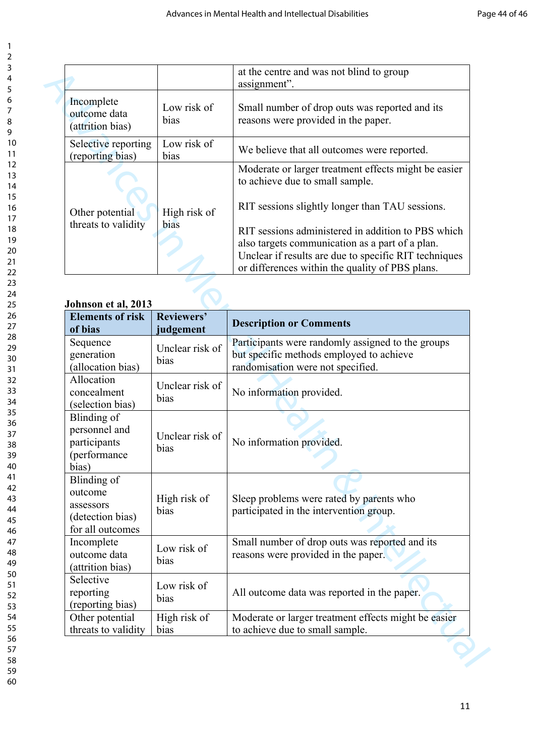| 2                                |
|----------------------------------|
| 3                                |
|                                  |
| 4                                |
| 5                                |
| 6                                |
| 7                                |
| 8                                |
| 9                                |
|                                  |
| 10                               |
| 1<br>1                           |
| 1<br>$\overline{c}$              |
| 3<br>1                           |
| $\overline{14}$                  |
|                                  |
| 15                               |
| 16                               |
| $rac{1}{17}$                     |
| 18                               |
| 19                               |
| 20                               |
|                                  |
| $\overline{21}$                  |
| $^{22}$                          |
| $^{23}$                          |
| $\overline{24}$                  |
| 25                               |
| 26                               |
|                                  |
| 27                               |
| 28                               |
| 29                               |
| 30                               |
| $\overline{31}$                  |
|                                  |
| 32                               |
| 3<br>$\overline{\mathbf{3}}$     |
| 34                               |
| 35                               |
| 36                               |
| 37                               |
| 38                               |
|                                  |
| S                                |
| 40                               |
| 41                               |
| 42                               |
| ξ<br>4.                          |
|                                  |
| 44                               |
| 45                               |
| 46                               |
| 47                               |
| 48                               |
| 49                               |
|                                  |
| 50                               |
| 51                               |
| $\overline{5}$<br>$\overline{c}$ |
| 5.<br>ξ                          |
| 54                               |
| 55                               |
|                                  |
| 56                               |
| 57                               |
| 58                               |
|                                  |

|                                                |                     | at the centre and was not blind to group<br>assignment".                                                 |
|------------------------------------------------|---------------------|----------------------------------------------------------------------------------------------------------|
| Incomplete<br>outcome data<br>(attrition bias) | Low risk of<br>bias | Small number of drop outs was reported and its<br>reasons were provided in the paper.                    |
| Selective reporting<br>(reporting bias)        | Low risk of<br>bias | We believe that all outcomes were reported.                                                              |
|                                                |                     | Moderate or larger treatment effects might be easier<br>to achieve due to small sample.                  |
| Other potential                                | High risk of        | RIT sessions slightly longer than TAU sessions.                                                          |
| threats to validity                            | bias                | RIT sessions administered in addition to PBS which<br>also targets communication as a part of a plan.    |
|                                                |                     | Unclear if results are due to specific RIT techniques<br>or differences within the quality of PBS plans. |

### **Johnson et al, 2013**

|                                                                                                                                                                             |                                     | at the centre and was not blind to group<br>assignment".                                                                                                                                                                                                                                                                                                        |
|-----------------------------------------------------------------------------------------------------------------------------------------------------------------------------|-------------------------------------|-----------------------------------------------------------------------------------------------------------------------------------------------------------------------------------------------------------------------------------------------------------------------------------------------------------------------------------------------------------------|
| Incomplete<br>outcome data<br>(attrition bias)                                                                                                                              | Low risk of<br>bias                 | Small number of drop outs was reported and its<br>reasons were provided in the paper.                                                                                                                                                                                                                                                                           |
| Selective reporting<br>(reporting bias)                                                                                                                                     | Low risk of<br>bias                 | We believe that all outcomes were reported.                                                                                                                                                                                                                                                                                                                     |
| Other potential<br>threats to validity                                                                                                                                      | High risk of<br>bias                | Moderate or larger treatment effects might be easier<br>to achieve due to small sample.<br>RIT sessions slightly longer than TAU sessions.<br>RIT sessions administered in addition to PBS which<br>also targets communication as a part of a plan.<br>Unclear if results are due to specific RIT techniques<br>or differences within the quality of PBS plans. |
| Johnson et al, 2013<br><b>Elements of risk</b>                                                                                                                              | Reviewers'                          |                                                                                                                                                                                                                                                                                                                                                                 |
| of bias                                                                                                                                                                     | judgement                           | <b>Description or Comments</b>                                                                                                                                                                                                                                                                                                                                  |
| Sequence<br>generation<br>(allocation bias)                                                                                                                                 | Unclear risk of<br>bias             | Participants were randomly assigned to the groups<br>but specific methods employed to achieve<br>randomisation were not specified.                                                                                                                                                                                                                              |
| Allocation<br>concealment<br>(selection bias)                                                                                                                               | Unclear risk of<br>bias             | No information provided.                                                                                                                                                                                                                                                                                                                                        |
| Blinding of<br>personnel and                                                                                                                                                | Unclear risk of                     |                                                                                                                                                                                                                                                                                                                                                                 |
| participants<br>(performance<br>bias)                                                                                                                                       | bias                                | No information provided.                                                                                                                                                                                                                                                                                                                                        |
|                                                                                                                                                                             | High risk of<br>bias                | Sleep problems were rated by parents who<br>participated in the intervention group.                                                                                                                                                                                                                                                                             |
|                                                                                                                                                                             | Low risk of<br>bias                 | Small number of drop outs was reported and its<br>reasons were provided in the paper.                                                                                                                                                                                                                                                                           |
| Blinding of<br>outcome<br>assessors<br>(detection bias)<br>for all outcomes<br>Incomplete<br>outcome data<br>(attrition bias)<br>Selective<br>reporting<br>(reporting bias) | Low risk of<br>bias<br>High risk of | All outcome data was reported in the paper.                                                                                                                                                                                                                                                                                                                     |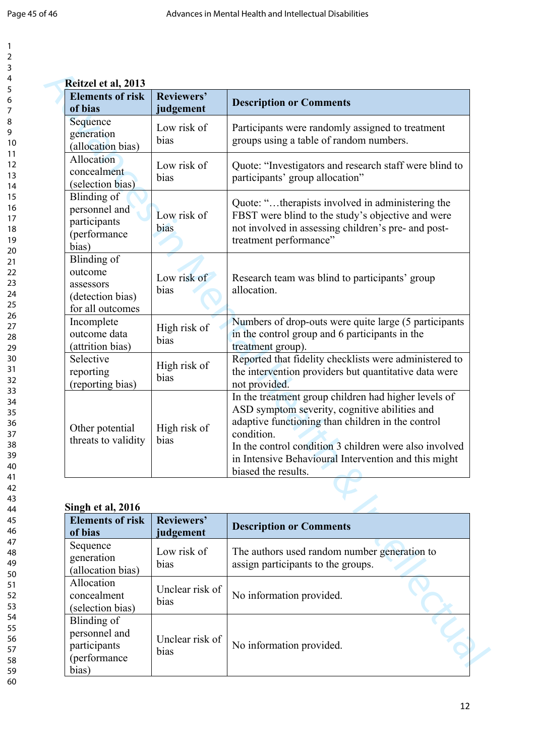| 1                    |  |
|----------------------|--|
| $\overline{c}$       |  |
| 3                    |  |
| 4                    |  |
| 5                    |  |
|                      |  |
| 6<br>7               |  |
|                      |  |
| 8                    |  |
| 9                    |  |
| 10                   |  |
| 1<br>1               |  |
| $\overline{c}$<br>1  |  |
| 3<br>1               |  |
| $\overline{14}$      |  |
| 15                   |  |
| 16                   |  |
| 17                   |  |
|                      |  |
| 18                   |  |
| 19                   |  |
| 20                   |  |
| ر<br>21              |  |
| $^{22}$              |  |
| 23                   |  |
| 24                   |  |
| 25                   |  |
| 26                   |  |
| $^{27}$              |  |
| 28                   |  |
| 29                   |  |
|                      |  |
| 30                   |  |
| 31                   |  |
| 32                   |  |
| 33                   |  |
| 34                   |  |
| 35                   |  |
| 36                   |  |
| 37                   |  |
| 38                   |  |
| 39                   |  |
| 40                   |  |
| 41                   |  |
| 42                   |  |
|                      |  |
| 43                   |  |
| 44                   |  |
| 45                   |  |
| 46                   |  |
| 47                   |  |
| 48                   |  |
| 49                   |  |
| 50                   |  |
| 51                   |  |
| 5:<br>$\overline{ }$ |  |
| 53                   |  |
| 54                   |  |
| 55                   |  |
|                      |  |
| 56                   |  |
| 57                   |  |
| 58                   |  |
| 59                   |  |

| <b>Elements of risk</b><br>of bias                                                 | Reviewers'<br>judgement | <b>Description or Comments</b>                                                                                                                                                                                                                                                                                    |
|------------------------------------------------------------------------------------|-------------------------|-------------------------------------------------------------------------------------------------------------------------------------------------------------------------------------------------------------------------------------------------------------------------------------------------------------------|
| Sequence<br>generation<br>(allocation bias)                                        | Low risk of<br>bias     | Participants were randomly assigned to treatment<br>groups using a table of random numbers.                                                                                                                                                                                                                       |
| Allocation<br>concealment<br>(selection bias)                                      | Low risk of<br>bias     | Quote: "Investigators and research staff were blind to<br>participants' group allocation"                                                                                                                                                                                                                         |
| Blinding of<br>personnel and<br>participants<br>(performance<br>bias)              | Low risk of<br>bias     | Quote: "therapists involved in administering the<br>FBST were blind to the study's objective and were<br>not involved in assessing children's pre- and post-<br>treatment performance"                                                                                                                            |
| <b>Blinding</b> of<br>outcome<br>assessors<br>(detection bias)<br>for all outcomes | Low risk of<br>bias     | Research team was blind to participants' group<br>allocation.                                                                                                                                                                                                                                                     |
| Incomplete<br>outcome data<br>(attrition bias)                                     | High risk of<br>bias    | Numbers of drop-outs were quite large (5 participants<br>in the control group and 6 participants in the<br>treatment group).                                                                                                                                                                                      |
| Selective<br>reporting<br>(reporting bias)                                         | High risk of<br>bias    | Reported that fidelity checklists were administered to<br>the intervention providers but quantitative data were<br>not provided.                                                                                                                                                                                  |
| Other potential<br>threats to validity                                             | High risk of<br>bias    | In the treatment group children had higher levels of<br>ASD symptom severity, cognitive abilities and<br>adaptive functioning than children in the control<br>condition.<br>In the control condition 3 children were also involved<br>in Intensive Behavioural Intervention and this might<br>biased the results. |
| Singh et al, 2016                                                                  |                         |                                                                                                                                                                                                                                                                                                                   |
| <b>Elements of risk</b><br>of bias                                                 | Reviewers'<br>judgement | <b>Description or Comments</b>                                                                                                                                                                                                                                                                                    |
| Sequence<br>generation<br>(allocation bias)                                        | Low risk of<br>bias     | The authors used random number generation to<br>assign participants to the groups.                                                                                                                                                                                                                                |
| Allocation<br>concealment<br>(selection bias)                                      | Unclear risk of<br>bias | No information provided.                                                                                                                                                                                                                                                                                          |
| <b>Blinding</b> of<br>personnel and<br>participants<br>(performance                | Unclear risk of<br>bias | No information provided.                                                                                                                                                                                                                                                                                          |

#### **Singh et al, 2016**

| DINEN UL AI, ZUTU                                                      |                         |                                                                                    |
|------------------------------------------------------------------------|-------------------------|------------------------------------------------------------------------------------|
| <b>Elements of risk</b><br>of bias                                     | Reviewers'<br>judgement | <b>Description or Comments</b>                                                     |
| Sequence<br>generation<br>(allocation bias)                            | Low risk of<br>bias     | The authors used random number generation to<br>assign participants to the groups. |
| Allocation<br>concealment<br>(selection bias)                          | Unclear risk of<br>bias | No information provided.                                                           |
| Blinding of<br>personnel and<br>participants<br>(performance)<br>bias) | Unclear risk of<br>bias | No information provided.                                                           |